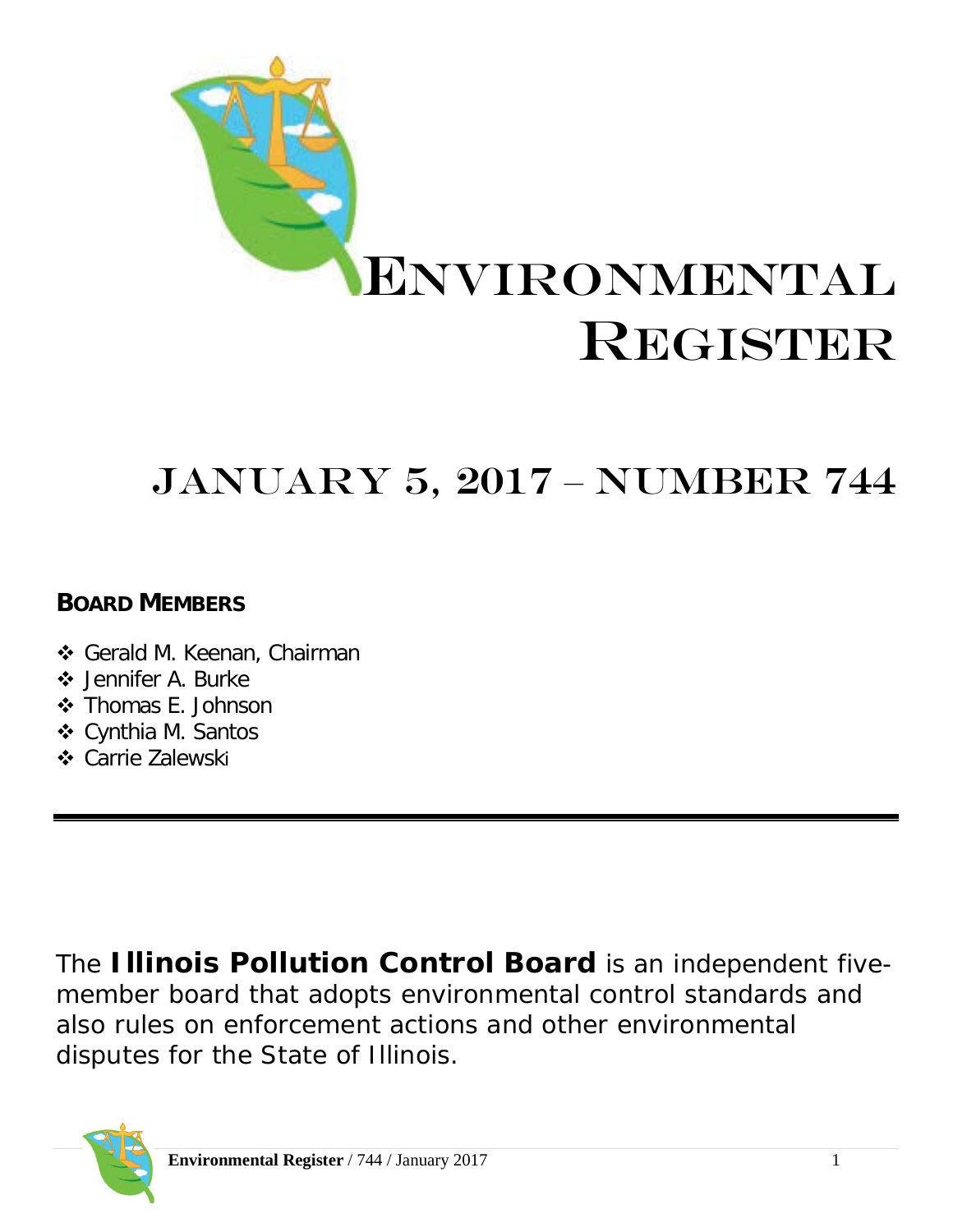

# JANUARY 5, 2017 – Number 744

# **BOARD MEMBERS**

- Gerald M. Keenan, Chairman
- ❖ Jennifer A. Burke
- Thomas E. Johnson
- Cynthia M. Santos
- **❖** Carrie Zalewski

The **Illinois Pollution Control Board** is an independent fivemember board that adopts environmental control standards and also rules on enforcement actions and other environmental disputes for the State of Illinois.

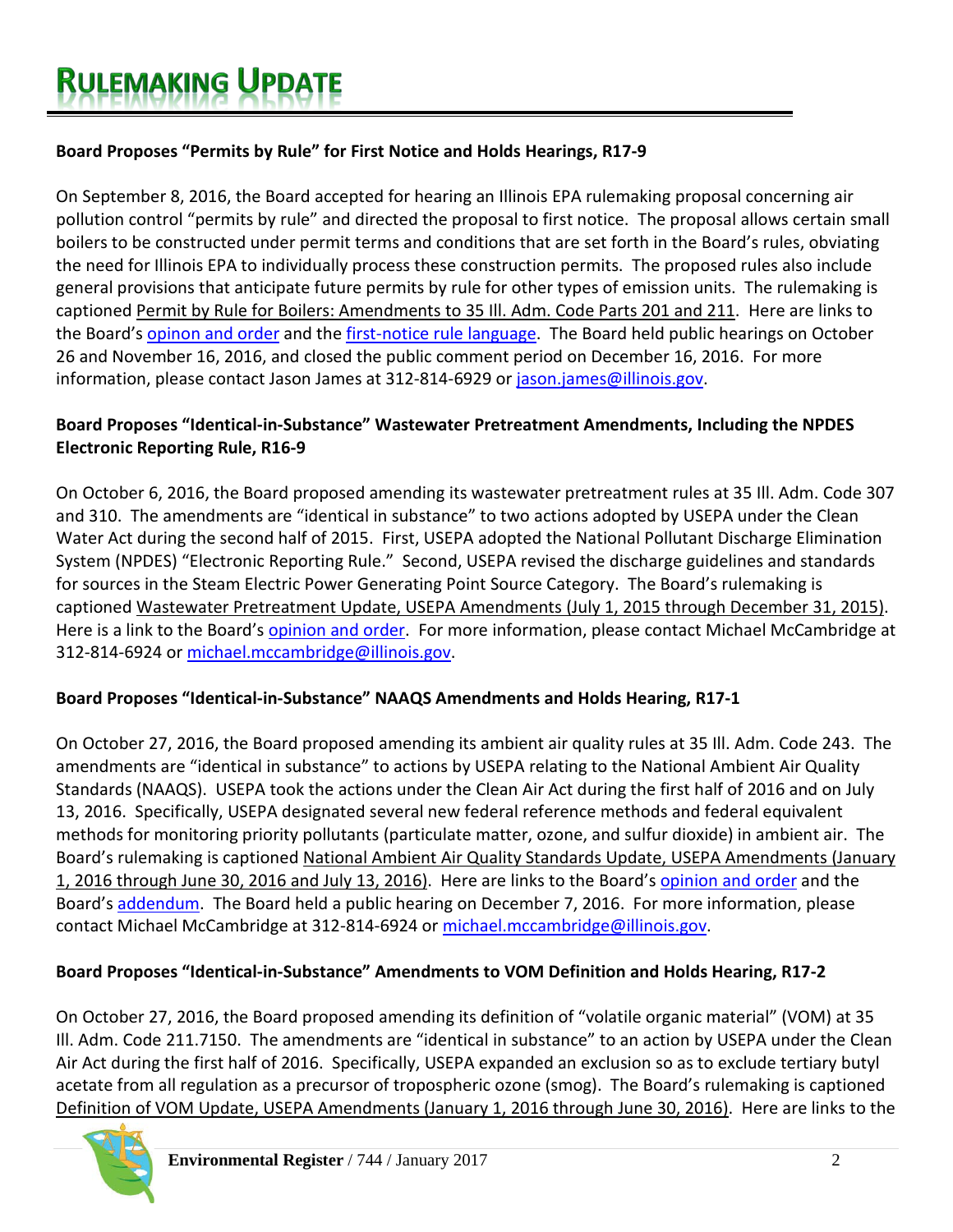# **Board Proposes "Permits by Rule" for First Notice and Holds Hearings, R17-9**

On September 8, 2016, the Board accepted for hearing an Illinois EPA rulemaking proposal concerning air pollution control "permits by rule" and directed the proposal to first notice. The proposal allows certain small boilers to be constructed under permit terms and conditions that are set forth in the Board's rules, obviating the need for Illinois EPA to individually process these construction permits. The proposed rules also include general provisions that anticipate future permits by rule for other types of emission units. The rulemaking is captioned Permit by Rule for Boilers: Amendments to 35 Ill. Adm. Code Parts 201 and 211. Here are links to the Board's [opinon and order](http://www.ipcb.state.il.us/documents/dsweb/Get/Document-93444) and the [first-notice rule language.](http://www.ipcb.state.il.us/documents/dsweb/Get/Document-93445) The Board held public hearings on October 26 and November 16, 2016, and closed the public comment period on December 16, 2016. For more information, please contact Jason James at 312-814-6929 or [jason.james@illinois.gov.](mailto:jason.james@illinois.gov)

# **Board Proposes "Identical-in-Substance" Wastewater Pretreatment Amendments, Including the NPDES Electronic Reporting Rule, R16-9**

On October 6, 2016, the Board proposed amending its wastewater pretreatment rules at 35 Ill. Adm. Code 307 and 310. The amendments are "identical in substance" to two actions adopted by USEPA under the Clean Water Act during the second half of 2015. First, USEPA adopted the National Pollutant Discharge Elimination System (NPDES) "Electronic Reporting Rule." Second, USEPA revised the discharge guidelines and standards for sources in the Steam Electric Power Generating Point Source Category. The Board's rulemaking is captioned Wastewater Pretreatment Update, USEPA Amendments (July 1, 2015 through December 31, 2015). Here is a link to the Board's [opinion and order.](http://www.ipcb.state.il.us/documents/dsweb/Get/Document-93642) For more information, please contact Michael McCambridge at 312-814-6924 or [michael.mccambridge@illinois.gov.](mailto:michael.mccambridge@illinois.gov)

# **Board Proposes "Identical-in-Substance" NAAQS Amendments and Holds Hearing, R17-1**

On October 27, 2016, the Board proposed amending its ambient air quality rules at 35 Ill. Adm. Code 243. The amendments are "identical in substance" to actions by USEPA relating to the National Ambient Air Quality Standards (NAAQS). USEPA took the actions under the Clean Air Act during the first half of 2016 and on July 13, 2016. Specifically, USEPA designated several new federal reference methods and federal equivalent methods for monitoring priority pollutants (particulate matter, ozone, and sulfur dioxide) in ambient air. The Board's rulemaking is captioned National Ambient Air Quality Standards Update, USEPA Amendments (January 1, 2016 through June 30, 2016 and July 13, 2016). Here are links to the Board's [opinion and order](http://www.ipcb.state.il.us/documents/dsweb/Get/Document-93778) and the Board's [addendum.](http://www.ipcb.state.il.us/documents/dsweb/Get/Document-93777) The Board held a public hearing on December 7, 2016. For more information, please contact Michael McCambridge at 312-814-6924 or [michael.mccambridge@illinois.gov.](mailto:michael.mccambridge@illinois.gov)

# **Board Proposes "Identical-in-Substance" Amendments to VOM Definition and Holds Hearing, R17-2**

On October 27, 2016, the Board proposed amending its definition of "volatile organic material" (VOM) at 35 Ill. Adm. Code 211.7150. The amendments are "identical in substance" to an action by USEPA under the Clean Air Act during the first half of 2016. Specifically, USEPA expanded an exclusion so as to exclude tertiary butyl acetate from all regulation as a precursor of tropospheric ozone (smog). The Board's rulemaking is captioned Definition of VOM Update, USEPA Amendments (January 1, 2016 through June 30, 2016). Here are links to the

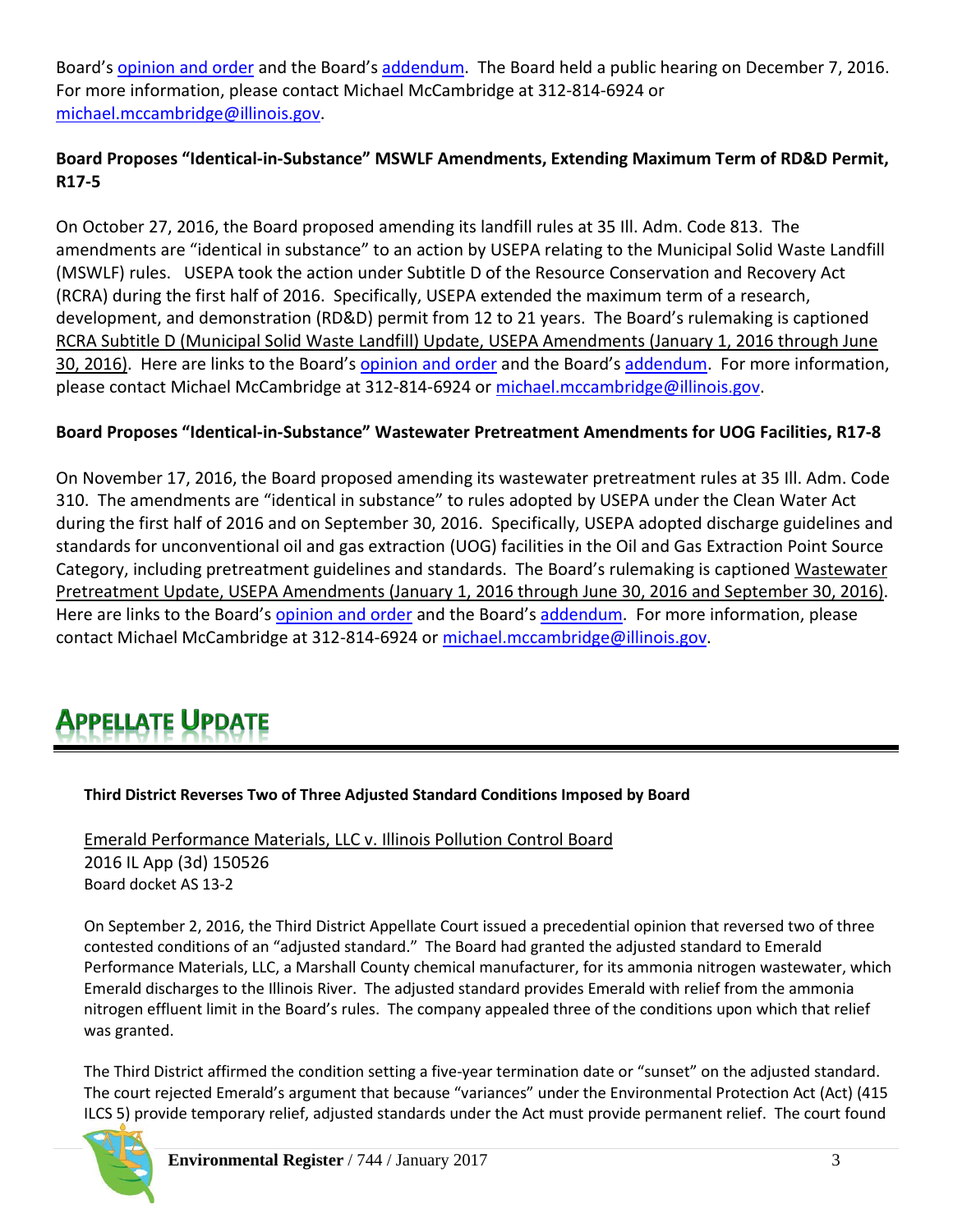Board's [opinion and order](http://www.ipcb.state.il.us/documents/dsweb/Get/Document-93780) and the Board'[s addendum.](http://www.ipcb.state.il.us/documents/dsweb/Get/Document-93779) The Board held a public hearing on December 7, 2016. For more information, please contact Michael McCambridge at 312-814-6924 or [michael.mccambridge@illinois.gov.](mailto:michael.mccambridge@illinois.gov)

# **Board Proposes "Identical-in-Substance" MSWLF Amendments, Extending Maximum Term of RD&D Permit, R17-5**

On October 27, 2016, the Board proposed amending its landfill rules at 35 Ill. Adm. Code 813. The amendments are "identical in substance" to an action by USEPA relating to the Municipal Solid Waste Landfill (MSWLF) rules. USEPA took the action under Subtitle D of the Resource Conservation and Recovery Act (RCRA) during the first half of 2016. Specifically, USEPA extended the maximum term of a research, development, and demonstration (RD&D) permit from 12 to 21 years. The Board's rulemaking is captioned RCRA Subtitle D (Municipal Solid Waste Landfill) Update, USEPA Amendments (January 1, 2016 through June 30, 2016). Here are links to the Board's [opinion and order](http://www.ipcb.state.il.us/documents/dsweb/Get/Document-93782) and the Board'[s addendum.](http://www.ipcb.state.il.us/documents/dsweb/Get/Document-93781) For more information, please contact Michael McCambridge at 312-814-6924 or [michael.mccambridge@illinois.gov.](mailto:michael.mccambridge@illinois.gov)

# **Board Proposes "Identical-in-Substance" Wastewater Pretreatment Amendments for UOG Facilities, R17-8**

On November 17, 2016, the Board proposed amending its wastewater pretreatment rules at 35 Ill. Adm. Code 310. The amendments are "identical in substance" to rules adopted by USEPA under the Clean Water Act during the first half of 2016 and on September 30, 2016. Specifically, USEPA adopted discharge guidelines and standards for unconventional oil and gas extraction (UOG) facilities in the Oil and Gas Extraction Point Source Category, including pretreatment guidelines and standards. The Board's rulemaking is captioned Wastewater Pretreatment Update, USEPA Amendments (January 1, 2016 through June 30, 2016 and September 30, 2016). Here are links to the Board's [opinion and order](http://www.ipcb.state.il.us/documents/dsweb/Get/Document-93917) and the Board's [addendum.](http://www.ipcb.state.il.us/documents/dsweb/Get/Document-93916) For more information, please contact Michael McCambridge at 312-814-6924 or [michael.mccambridge@illinois.gov.](mailto:michael.mccambridge@illinois.gov)

# PPELLATE UPDATE

# **Third District Reverses Two of Three Adjusted Standard Conditions Imposed by Board**

Emerald Performance Materials, LLC v. Illinois Pollution Control Board 2016 IL App (3d) 150526 Board docket AS 13-2

On September 2, 2016, the Third District Appellate Court issued a precedential opinion that reversed two of three contested conditions of an "adjusted standard." The Board had granted the adjusted standard to Emerald Performance Materials, LLC, a Marshall County chemical manufacturer, for its ammonia nitrogen wastewater, which Emerald discharges to the Illinois River. The adjusted standard provides Emerald with relief from the ammonia nitrogen effluent limit in the Board's rules. The company appealed three of the conditions upon which that relief was granted.

The Third District affirmed the condition setting a five-year termination date or "sunset" on the adjusted standard. The court rejected Emerald's argument that because "variances" under the Environmental Protection Act (Act) (415 ILCS 5) provide temporary relief, adjusted standards under the Act must provide permanent relief. The court found

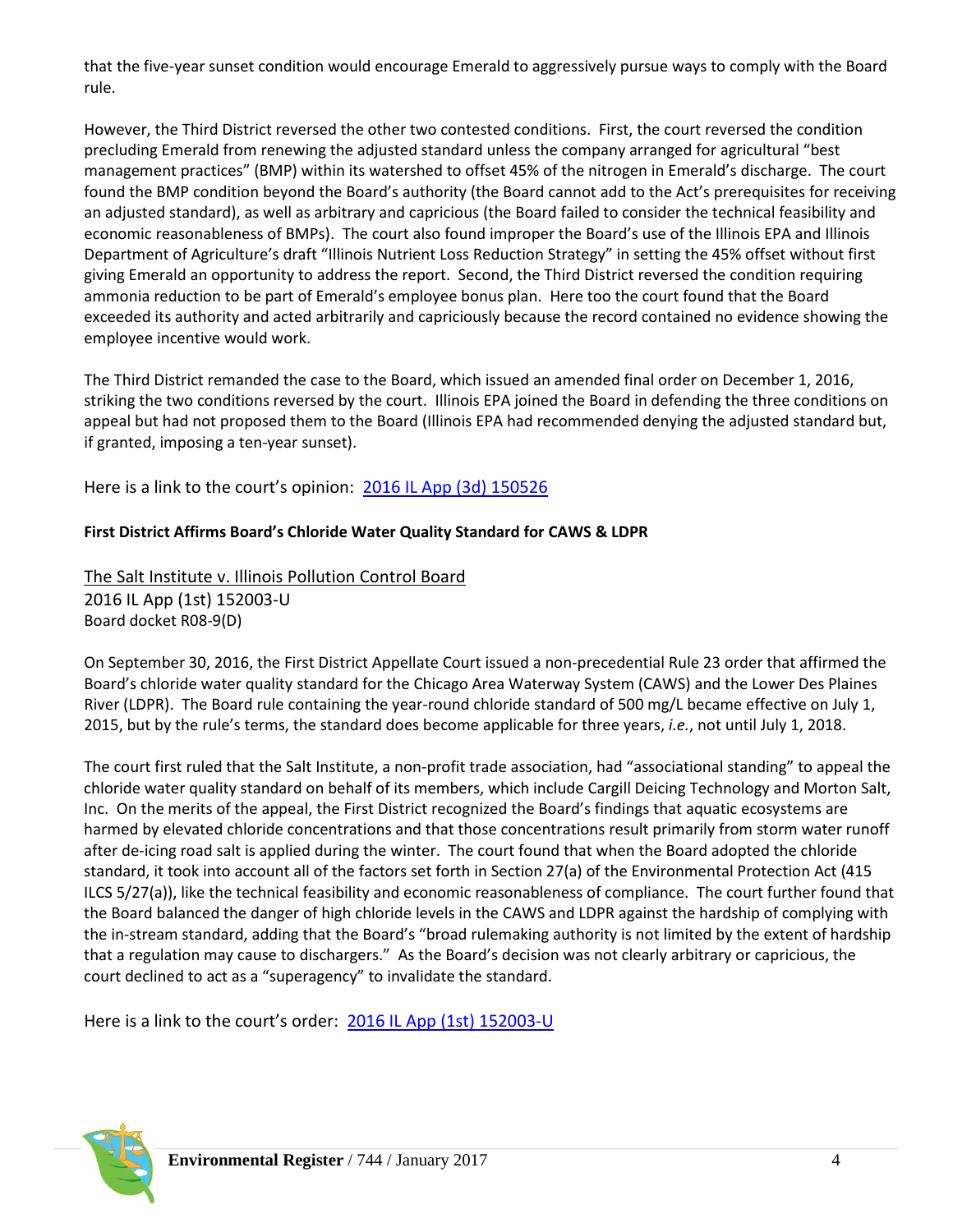that the five-year sunset condition would encourage Emerald to aggressively pursue ways to comply with the Board rule.

However, the Third District reversed the other two contested conditions. First, the court reversed the condition precluding Emerald from renewing the adjusted standard unless the company arranged for agricultural "best management practices" (BMP) within its watershed to offset 45% of the nitrogen in Emerald's discharge. The court found the BMP condition beyond the Board's authority (the Board cannot add to the Act's prerequisites for receiving an adjusted standard), as well as arbitrary and capricious (the Board failed to consider the technical feasibility and economic reasonableness of BMPs). The court also found improper the Board's use of the Illinois EPA and Illinois Department of Agriculture's draft "Illinois Nutrient Loss Reduction Strategy" in setting the 45% offset without first giving Emerald an opportunity to address the report. Second, the Third District reversed the condition requiring ammonia reduction to be part of Emerald's employee bonus plan. Here too the court found that the Board exceeded its authority and acted arbitrarily and capriciously because the record contained no evidence showing the employee incentive would work.

The Third District remanded the case to the Board, which issued an amended final order on December 1, 2016, striking the two conditions reversed by the court. Illinois EPA joined the Board in defending the three conditions on appeal but had not proposed them to the Board (Illinois EPA had recommended denying the adjusted standard but, if granted, imposing a ten-year sunset).

Here is a link to the court's opinion: [2016 IL App \(3d\) 150526](http://www.ipcb.state.il.us/documents/dsweb/Get/Document-93611)

#### **First District Affirms Board's Chloride Water Quality Standard for CAWS & LDPR**

The Salt Institute v. Illinois Pollution Control Board 2016 IL App (1st) 152003-U Board docket R08-9(D)

On September 30, 2016, the First District Appellate Court issued a non-precedential Rule 23 order that affirmed the Board's chloride water quality standard for the Chicago Area Waterway System (CAWS) and the Lower Des Plaines River (LDPR). The Board rule containing the year-round chloride standard of 500 mg/L became effective on July 1, 2015, but by the rule's terms, the standard does become applicable for three years, *i.e.*, not until July 1, 2018.

The court first ruled that the Salt Institute, a non-profit trade association, had "associational standing" to appeal the chloride water quality standard on behalf of its members, which include Cargill Deicing Technology and Morton Salt, Inc. On the merits of the appeal, the First District recognized the Board's findings that aquatic ecosystems are harmed by elevated chloride concentrations and that those concentrations result primarily from storm water runoff after de-icing road salt is applied during the winter. The court found that when the Board adopted the chloride standard, it took into account all of the factors set forth in Section 27(a) of the Environmental Protection Act (415 ILCS 5/27(a)), like the technical feasibility and economic reasonableness of compliance. The court further found that the Board balanced the danger of high chloride levels in the CAWS and LDPR against the hardship of complying with the in-stream standard, adding that the Board's "broad rulemaking authority is not limited by the extent of hardship that a regulation may cause to dischargers." As the Board's decision was not clearly arbitrary or capricious, the court declined to act as a "superagency" to invalidate the standard.

Here is a link to the court's order: [2016 IL App \(1st\) 152003-U](http://www.ipcb.state.il.us/documents/dsweb/Get/Document-93610)

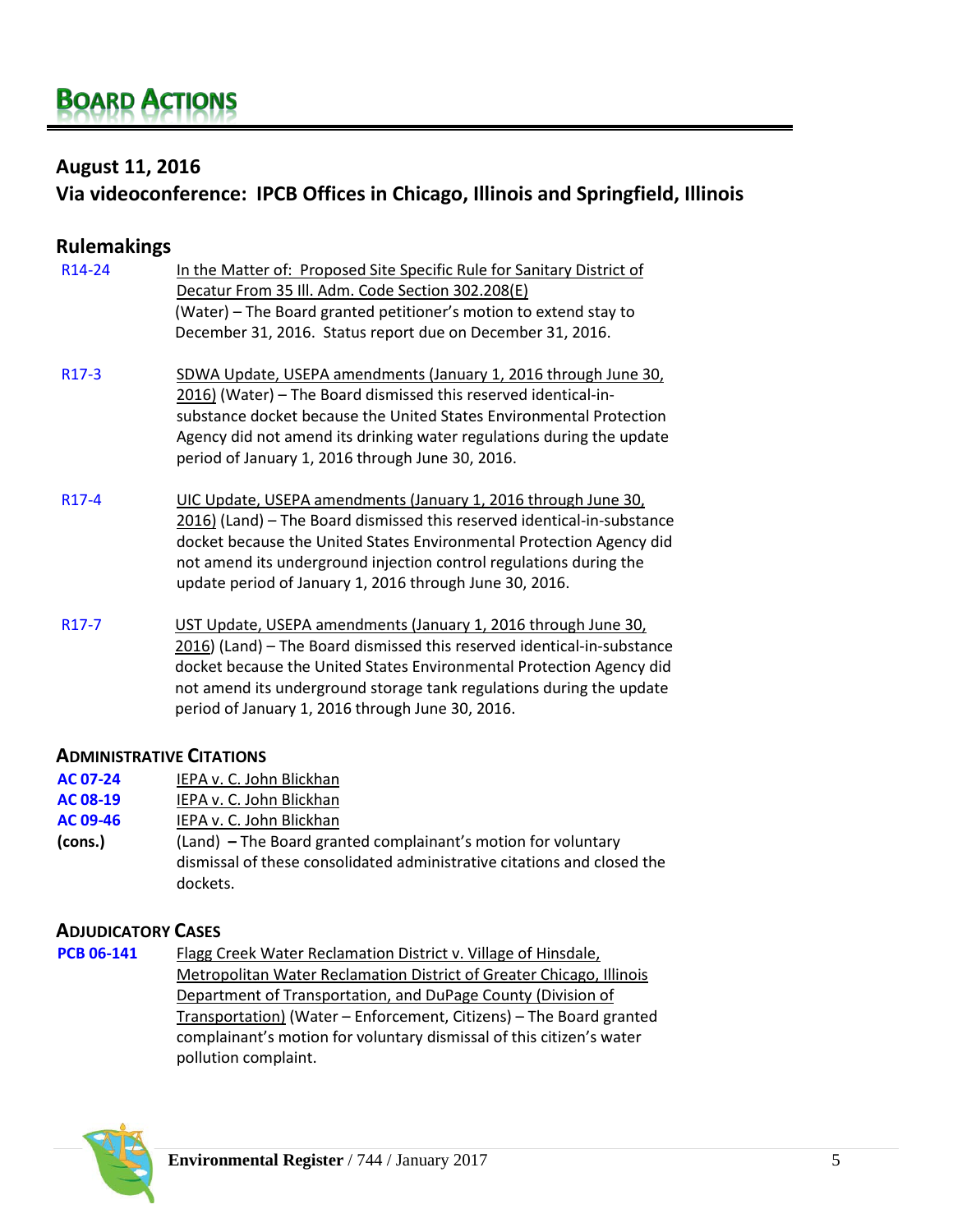# **August 11, 2016**

# **Via videoconference: IPCB Offices in Chicago, Illinois and Springfield, Illinois**

| <b>Rulemakings</b>  |                                                                                                                                                                                                                                                                                                                                                    |
|---------------------|----------------------------------------------------------------------------------------------------------------------------------------------------------------------------------------------------------------------------------------------------------------------------------------------------------------------------------------------------|
| R <sub>14</sub> -24 | In the Matter of: Proposed Site Specific Rule for Sanitary District of<br>Decatur From 35 Ill. Adm. Code Section 302.208(E)<br>(Water) - The Board granted petitioner's motion to extend stay to<br>December 31, 2016. Status report due on December 31, 2016.                                                                                     |
| R <sub>17</sub> -3  | SDWA Update, USEPA amendments (January 1, 2016 through June 30,<br>2016) (Water) - The Board dismissed this reserved identical-in-<br>substance docket because the United States Environmental Protection<br>Agency did not amend its drinking water regulations during the update<br>period of January 1, 2016 through June 30, 2016.             |
| R <sub>17</sub> -4  | UIC Update, USEPA amendments (January 1, 2016 through June 30,<br>2016) (Land) – The Board dismissed this reserved identical-in-substance<br>docket because the United States Environmental Protection Agency did<br>not amend its underground injection control regulations during the<br>update period of January 1, 2016 through June 30, 2016. |
| R <sub>17</sub> -7  | UST Update, USEPA amendments (January 1, 2016 through June 30,<br>2016) (Land) - The Board dismissed this reserved identical-in-substance<br>docket because the United States Environmental Protection Agency did<br>not amend its underground storage tank regulations during the update<br>period of January 1, 2016 through June 30, 2016.      |

#### **ADMINISTRATIVE CITATIONS**

- **[AC 07-24](http://www.ipcb.state.il.us/COOL/external/CaseView.aspx?referer=results&case=13095)** IEPA v. C. John Blickhan
- **[AC 08-19](http://www.ipcb.state.il.us/COOL/external/CaseView.aspx?referer=results&case=13404)** IEPA v. C. John Blickhan
- **[AC 09-46](http://www.ipcb.state.il.us/COOL/external/CaseView.aspx?referer=results&case=13681)** IEPA v. C. John Blickhan
- **(cons.)** (Land) **–** The Board granted complainant's motion for voluntary dismissal of these consolidated administrative citations and closed the dockets.

## **ADJUDICATORY CASES**

**[PCB 06-141](http://www.ipcb.state.il.us/COOL/external/CaseView.aspx?referer=results&case=12894)** Flagg Creek Water Reclamation District v. Village of Hinsdale, Metropolitan Water Reclamation District of Greater Chicago, Illinois Department of Transportation, and DuPage County (Division of Transportation) (Water – Enforcement, Citizens) – The Board granted complainant's motion for voluntary dismissal of this citizen's water pollution complaint.

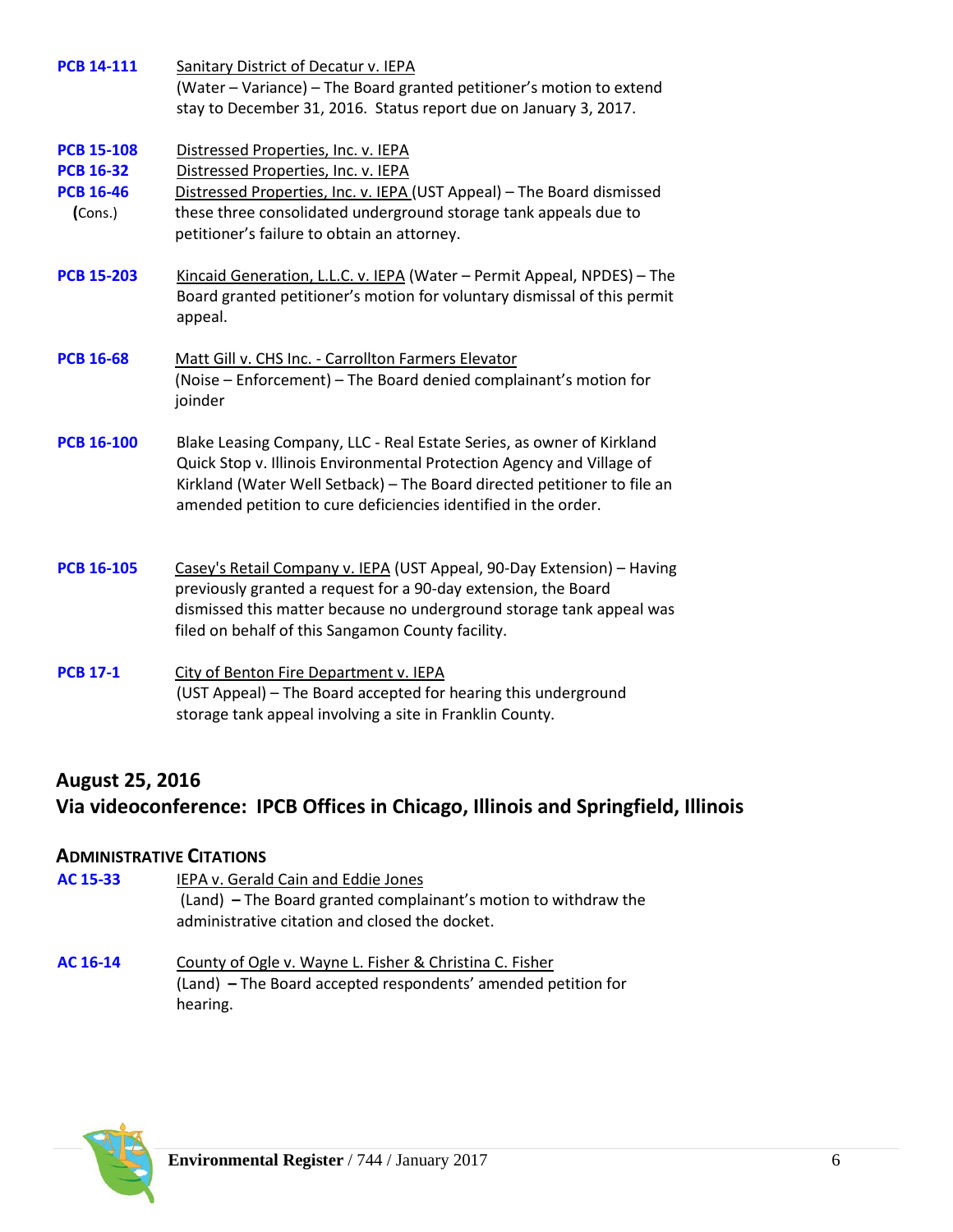| <b>PCB 14-111</b>                                                    | <b>Sanitary District of Decatur v. IEPA</b><br>(Water - Variance) - The Board granted petitioner's motion to extend<br>stay to December 31, 2016. Status report due on January 3, 2017.                                                                                                      |
|----------------------------------------------------------------------|----------------------------------------------------------------------------------------------------------------------------------------------------------------------------------------------------------------------------------------------------------------------------------------------|
| <b>PCB 15-108</b><br><b>PCB 16-32</b><br><b>PCB 16-46</b><br>(Cons.) | Distressed Properties, Inc. v. IEPA<br>Distressed Properties, Inc. v. IEPA<br>Distressed Properties, Inc. v. IEPA (UST Appeal) - The Board dismissed<br>these three consolidated underground storage tank appeals due to<br>petitioner's failure to obtain an attorney.                      |
| <b>PCB 15-203</b>                                                    | Kincaid Generation, L.L.C. v. IEPA (Water - Permit Appeal, NPDES) - The<br>Board granted petitioner's motion for voluntary dismissal of this permit<br>appeal.                                                                                                                               |
| <b>PCB 16-68</b>                                                     | Matt Gill v. CHS Inc. - Carrollton Farmers Elevator<br>(Noise - Enforcement) - The Board denied complainant's motion for<br>joinder                                                                                                                                                          |
| <b>PCB 16-100</b>                                                    | Blake Leasing Company, LLC - Real Estate Series, as owner of Kirkland<br>Quick Stop v. Illinois Environmental Protection Agency and Village of<br>Kirkland (Water Well Setback) - The Board directed petitioner to file an<br>amended petition to cure deficiencies identified in the order. |
| <b>PCB 16-105</b>                                                    | Casey's Retail Company v. IEPA (UST Appeal, 90-Day Extension) - Having<br>previously granted a request for a 90-day extension, the Board<br>dismissed this matter because no underground storage tank appeal was<br>filed on behalf of this Sangamon County facility.                        |
| <b>PCB 17-1</b>                                                      | City of Benton Fire Department v. IEPA<br>(UST Appeal) - The Board accepted for hearing this underground<br>storage tank appeal involving a site in Franklin County.                                                                                                                         |

# **August 25, 2016 Via videoconference: IPCB Offices in Chicago, Illinois and Springfield, Illinois**

# **ADMINISTRATIVE CITATIONS**

| AC 15-33 | IEPA v. Gerald Cain and Eddie Jones                             |
|----------|-----------------------------------------------------------------|
|          | (Land) – The Board granted complainant's motion to withdraw the |
|          | administrative citation and closed the docket.                  |
| AC 16-14 | County of Ogle v. Wayne L. Fisher & Christina C. Fisher         |
|          | (Land) – The Board accepted respondents' amended petition for   |
|          | hearing.                                                        |

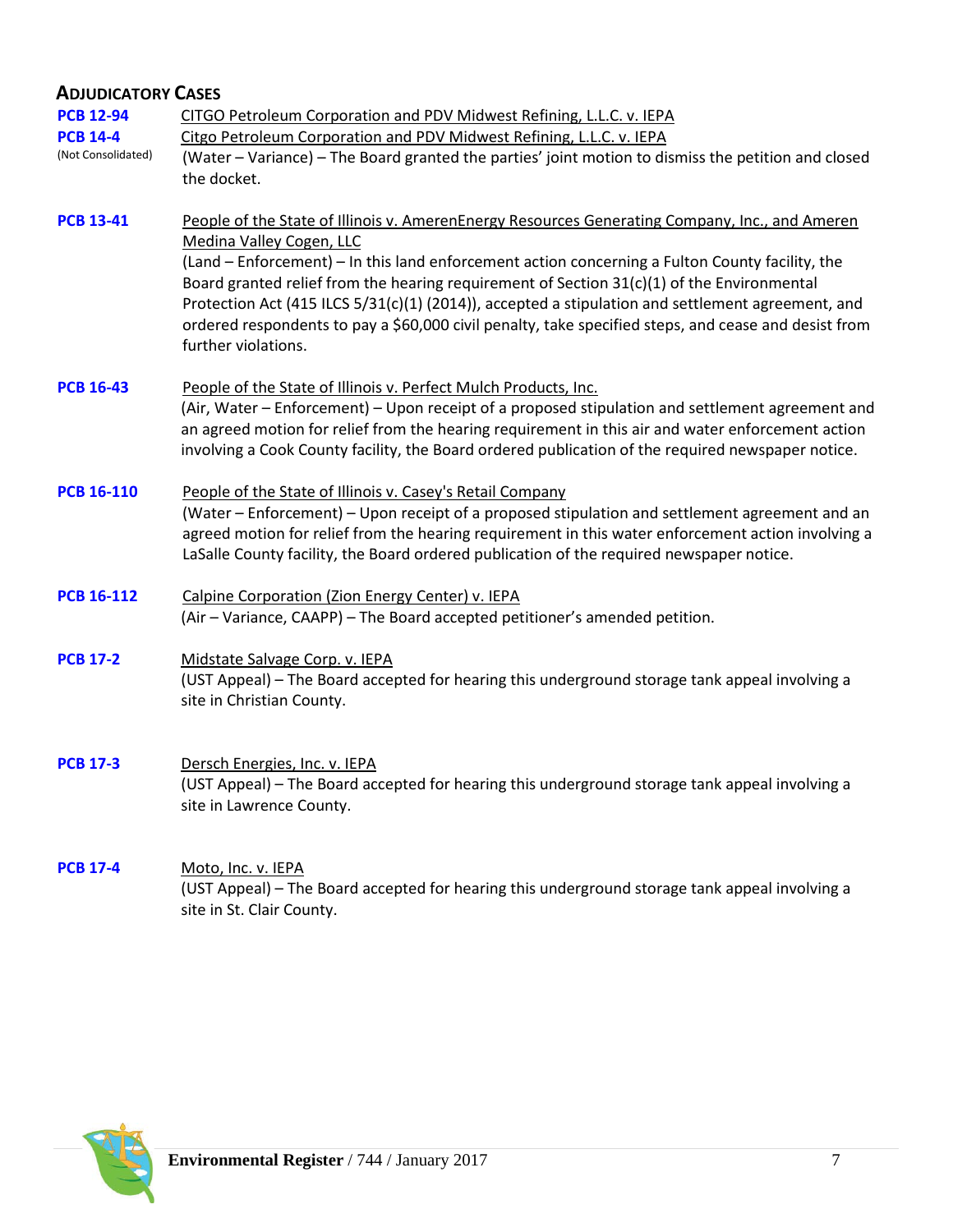# **ADJUDICATORY CASES**

| <b>PCB 12-94</b><br><b>PCB 14-4</b><br>(Not Consolidated) | CITGO Petroleum Corporation and PDV Midwest Refining, L.L.C. v. IEPA<br>Citgo Petroleum Corporation and PDV Midwest Refining, L.L.C. v. IEPA<br>(Water - Variance) - The Board granted the parties' joint motion to dismiss the petition and closed<br>the docket.                                                                                                                                                                                                                                                                                              |
|-----------------------------------------------------------|-----------------------------------------------------------------------------------------------------------------------------------------------------------------------------------------------------------------------------------------------------------------------------------------------------------------------------------------------------------------------------------------------------------------------------------------------------------------------------------------------------------------------------------------------------------------|
| <b>PCB 13-41</b>                                          | People of the State of Illinois v. AmerenEnergy Resources Generating Company, Inc., and Ameren<br>Medina Valley Cogen, LLC<br>(Land - Enforcement) - In this land enforcement action concerning a Fulton County facility, the<br>Board granted relief from the hearing requirement of Section 31(c)(1) of the Environmental<br>Protection Act (415 ILCS 5/31(c)(1) (2014)), accepted a stipulation and settlement agreement, and<br>ordered respondents to pay a \$60,000 civil penalty, take specified steps, and cease and desist from<br>further violations. |
| <b>PCB 16-43</b>                                          | People of the State of Illinois v. Perfect Mulch Products, Inc.<br>(Air, Water – Enforcement) – Upon receipt of a proposed stipulation and settlement agreement and<br>an agreed motion for relief from the hearing requirement in this air and water enforcement action<br>involving a Cook County facility, the Board ordered publication of the required newspaper notice.                                                                                                                                                                                   |
| <b>PCB 16-110</b>                                         | People of the State of Illinois v. Casey's Retail Company<br>(Water - Enforcement) - Upon receipt of a proposed stipulation and settlement agreement and an<br>agreed motion for relief from the hearing requirement in this water enforcement action involving a<br>LaSalle County facility, the Board ordered publication of the required newspaper notice.                                                                                                                                                                                                   |
| <b>PCB 16-112</b>                                         | Calpine Corporation (Zion Energy Center) v. IEPA<br>(Air - Variance, CAAPP) - The Board accepted petitioner's amended petition.                                                                                                                                                                                                                                                                                                                                                                                                                                 |
| <b>PCB 17-2</b>                                           | Midstate Salvage Corp. v. IEPA<br>(UST Appeal) - The Board accepted for hearing this underground storage tank appeal involving a<br>site in Christian County.                                                                                                                                                                                                                                                                                                                                                                                                   |
| <b>PCB 17-3</b>                                           | Dersch Energies, Inc. v. IEPA<br>(UST Appeal) – The Board accepted for hearing this underground storage tank appeal involving a<br>site in Lawrence County.                                                                                                                                                                                                                                                                                                                                                                                                     |

[PCB 17-4](http://www.ipcb.state.il.us/COOL/external/CaseView.aspx?referer=results&case=15331) Moto, Inc. v. IEPA (UST Appeal) – The Board accepted for hearing this underground storage tank appeal involving a site in St. Clair County.

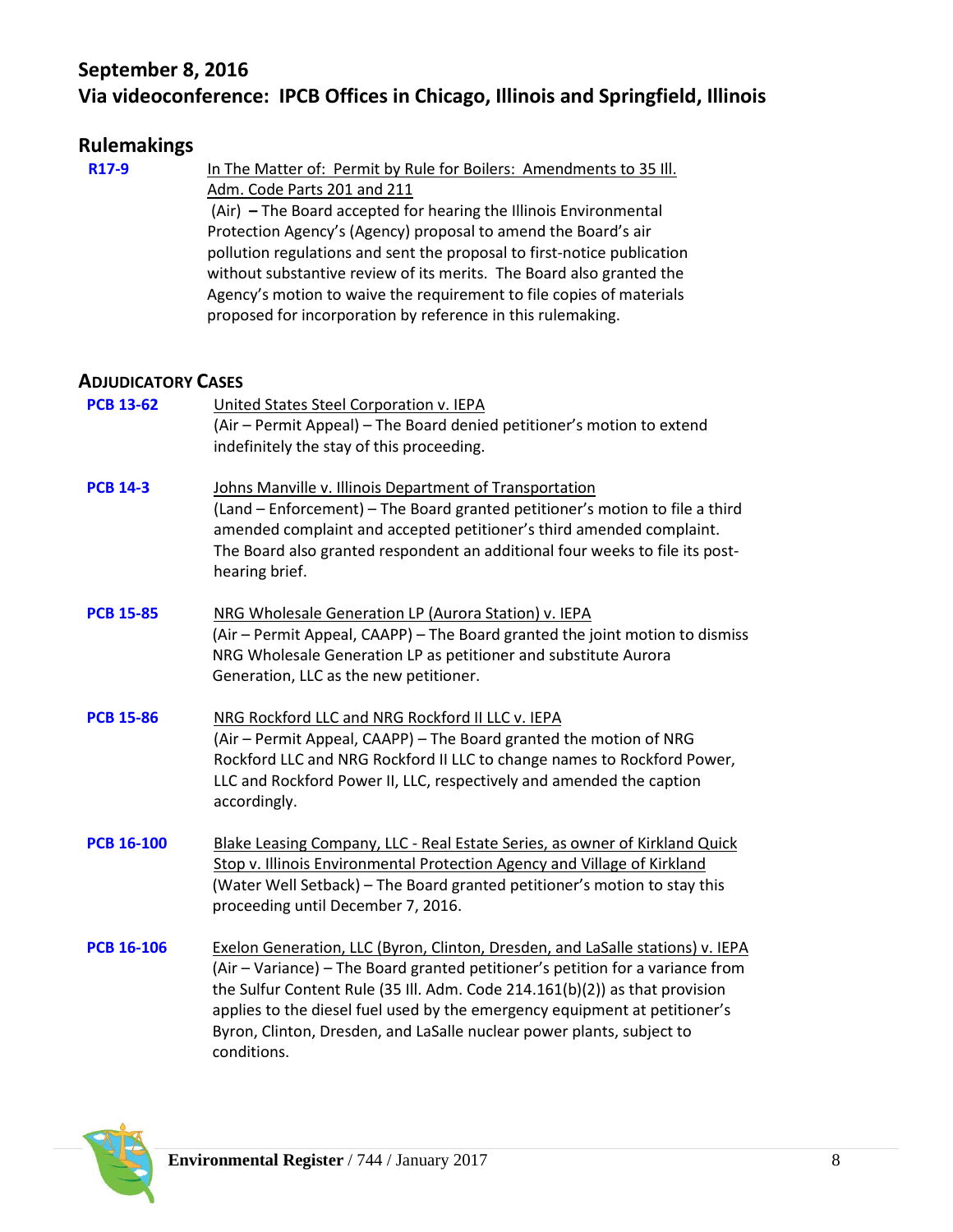# **September 8, 2016 Via videoconference: IPCB Offices in Chicago, Illinois and Springfield, Illinois**

## **Rulemakings**

**[R17-9](http://www.ipcb.state.il.us/COOL/external/CaseView.aspx?referer=results&case=15334)** In The Matter of: Permit by Rule for Boilers: Amendments to 35 Ill. Adm. Code Parts 201 and 211 (Air) **–** The Board accepted for hearing the Illinois Environmental Protection Agency's (Agency) proposal to amend the Board's air pollution regulations and sent the proposal to first-notice publication without substantive review of its merits. The Board also granted the Agency's motion to waive the requirement to file copies of materials proposed for incorporation by reference in this rulemaking.

#### **ADJUDICATORY CASES**

| <b>PCB 13-62</b>  | United States Steel Corporation v. IEPA<br>(Air - Permit Appeal) - The Board denied petitioner's motion to extend<br>indefinitely the stay of this proceeding.                                                                                                                                                                                                                                                        |
|-------------------|-----------------------------------------------------------------------------------------------------------------------------------------------------------------------------------------------------------------------------------------------------------------------------------------------------------------------------------------------------------------------------------------------------------------------|
| <b>PCB 14-3</b>   | Johns Manville v. Illinois Department of Transportation<br>(Land - Enforcement) - The Board granted petitioner's motion to file a third<br>amended complaint and accepted petitioner's third amended complaint.<br>The Board also granted respondent an additional four weeks to file its post-<br>hearing brief.                                                                                                     |
| <b>PCB 15-85</b>  | NRG Wholesale Generation LP (Aurora Station) v. IEPA<br>(Air – Permit Appeal, CAAPP) – The Board granted the joint motion to dismiss<br>NRG Wholesale Generation LP as petitioner and substitute Aurora<br>Generation, LLC as the new petitioner.                                                                                                                                                                     |
| <b>PCB 15-86</b>  | NRG Rockford LLC and NRG Rockford II LLC v. IEPA<br>(Air - Permit Appeal, CAAPP) - The Board granted the motion of NRG<br>Rockford LLC and NRG Rockford II LLC to change names to Rockford Power,<br>LLC and Rockford Power II, LLC, respectively and amended the caption<br>accordingly.                                                                                                                             |
| <b>PCB 16-100</b> | Blake Leasing Company, LLC - Real Estate Series, as owner of Kirkland Quick<br>Stop v. Illinois Environmental Protection Agency and Village of Kirkland<br>(Water Well Setback) - The Board granted petitioner's motion to stay this<br>proceeding until December 7, 2016.                                                                                                                                            |
| <b>PCB 16-106</b> | Exelon Generation, LLC (Byron, Clinton, Dresden, and LaSalle stations) v. IEPA<br>(Air – Variance) – The Board granted petitioner's petition for a variance from<br>the Sulfur Content Rule (35 III. Adm. Code 214.161(b)(2)) as that provision<br>applies to the diesel fuel used by the emergency equipment at petitioner's<br>Byron, Clinton, Dresden, and LaSalle nuclear power plants, subject to<br>conditions. |

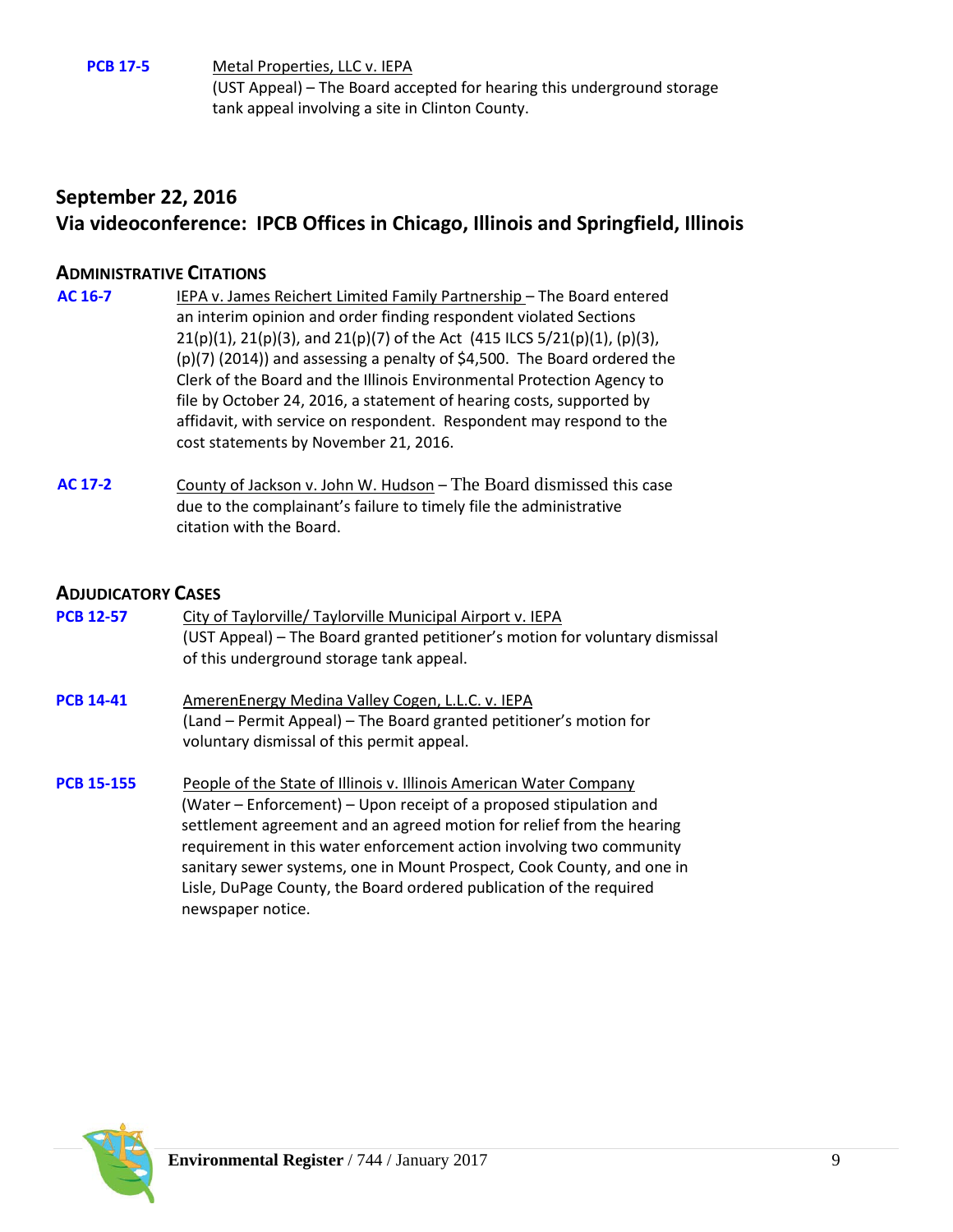**[PCB 17-5](http://www.ipcb.state.il.us/COOL/external/CaseView.aspx?referer=results&case=15332)** Metal Properties, LLC v. IEPA (UST Appeal) – The Board accepted for hearing this underground storage tank appeal involving a site in Clinton County.

# **September 22, 2016 Via videoconference: IPCB Offices in Chicago, Illinois and Springfield, Illinois**

## **ADMINISTRATIVE CITATIONS**

- **[AC 16-7](http://www.ipcb.state.il.us/COOL/external/CaseView.aspx?referer=results&case=15262)** IEPA v. James Reichert Limited Family Partnership The Board entered an interim opinion and order finding respondent violated Sections 21(p)(1), 21(p)(3), and 21(p)(7) of the Act (415 ILCS 5/21(p)(1), (p)(3), (p)(7) (2014)) and assessing a penalty of \$4,500. The Board ordered the Clerk of the Board and the Illinois Environmental Protection Agency to file by October 24, 2016, a statement of hearing costs, supported by affidavit, with service on respondent. Respondent may respond to the cost statements by November 21, 2016.
- **[AC 17-2](http://www.ipcb.state.il.us/COOL/external/CaseView.aspx?referer=results&case=15330)** County of Jackson v. John W. Hudson The Board dismissed this case due to the complainant's failure to timely file the administrative citation with the Board.

#### **ADJUDICATORY CASES**

| <b>PCB 12-57</b>  | City of Taylorville/ Taylorville Municipal Airport v. IEPA<br>(UST Appeal) – The Board granted petitioner's motion for voluntary dismissal<br>of this underground storage tank appeal.                                                                                                                                                                                                                                                                          |
|-------------------|-----------------------------------------------------------------------------------------------------------------------------------------------------------------------------------------------------------------------------------------------------------------------------------------------------------------------------------------------------------------------------------------------------------------------------------------------------------------|
| <b>PCB 14-41</b>  | AmerenEnergy Medina Valley Cogen, L.L.C. v. IEPA<br>(Land – Permit Appeal) – The Board granted petitioner's motion for<br>voluntary dismissal of this permit appeal.                                                                                                                                                                                                                                                                                            |
| <b>PCB 15-155</b> | People of the State of Illinois v. Illinois American Water Company<br>(Water – Enforcement) – Upon receipt of a proposed stipulation and<br>settlement agreement and an agreed motion for relief from the hearing<br>requirement in this water enforcement action involving two community<br>sanitary sewer systems, one in Mount Prospect, Cook County, and one in<br>Lisle, DuPage County, the Board ordered publication of the required<br>newspaper notice. |

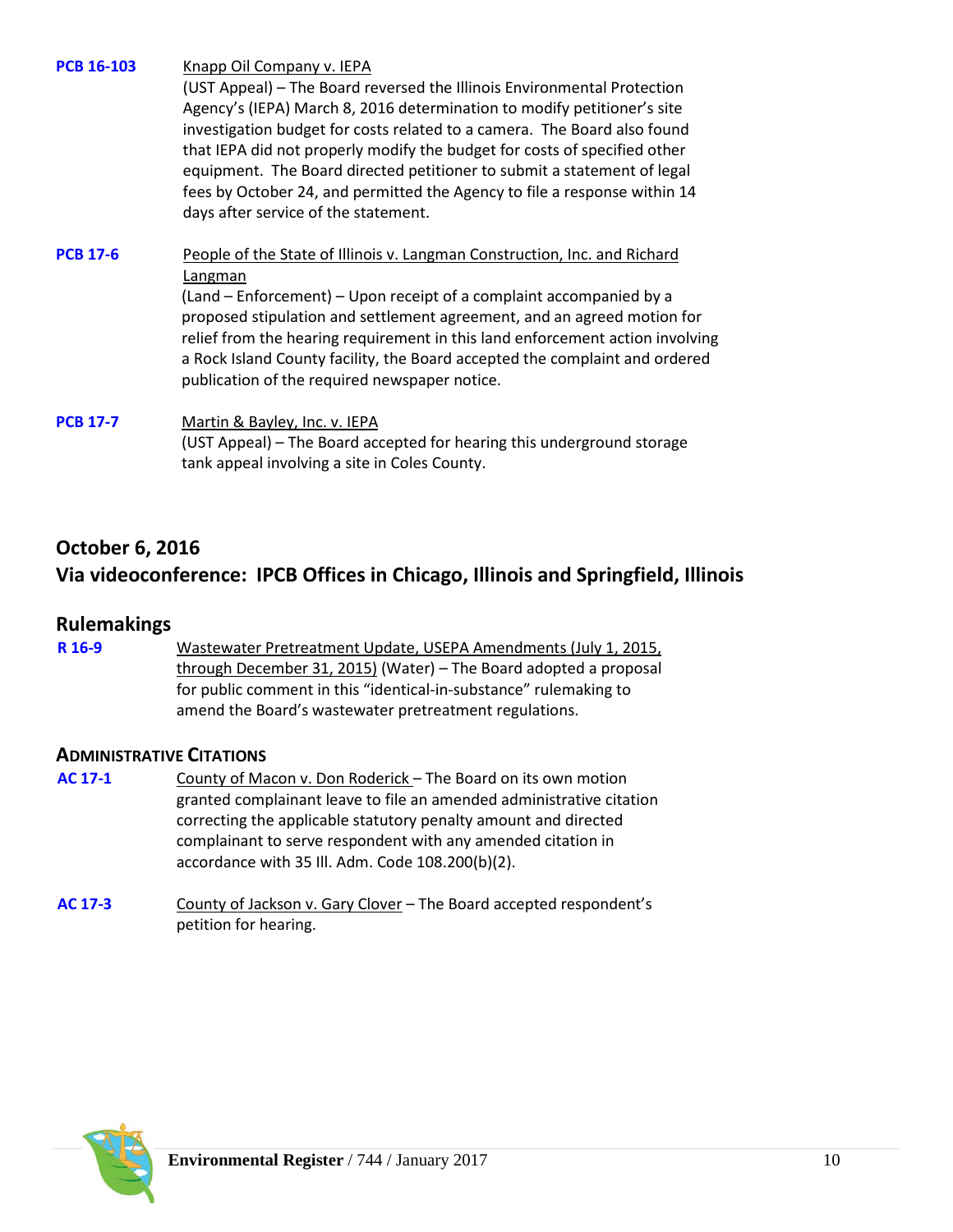**[PCB 16-103](http://www.ipcb.state.il.us/COOL/external/CaseView.aspx?referer=results&case=15313)** Knapp Oil Company v. IEPA

(UST Appeal) – The Board reversed the Illinois Environmental Protection Agency's (IEPA) March 8, 2016 determination to modify petitioner's site investigation budget for costs related to a camera. The Board also found that IEPA did not properly modify the budget for costs of specified other equipment. The Board directed petitioner to submit a statement of legal fees by October 24, and permitted the Agency to file a response within 14 days after service of the statement.

# **[PCB 17-6](http://www.ipcb.state.il.us/COOL/external/CaseView.aspx?referer=results&case=15336)** People of the State of Illinois v. Langman Construction, Inc. and Richard Langman

(Land – Enforcement) – Upon receipt of a complaint accompanied by a proposed stipulation and settlement agreement, and an agreed motion for relief from the hearing requirement in this land enforcement action involving a Rock Island County facility, the Board accepted the complaint and ordered publication of the required newspaper notice.

# **[PCB 17-7](http://www.ipcb.state.il.us/COOL/external/CaseView.aspx?referer=results&case=15337)** Martin & Bayley, Inc. v. IEPA

(UST Appeal) – The Board accepted for hearing this underground storage tank appeal involving a site in Coles County.

# **October 6, 2016 Via videoconference: IPCB Offices in Chicago, Illinois and Springfield, Illinois**

## **Rulemakings**

**[R 16-9](http://www.ipcb.state.il.us/COOL/external/CaseView.aspx?referer=results&case=15240)** Wastewater Pretreatment Update, USEPA Amendments (July 1, 2015, through December 31, 2015) (Water) – The Board adopted a proposal for public comment in this "identical-in-substance" rulemaking to amend the Board's wastewater pretreatment regulations.

## **ADMINISTRATIVE CITATIONS**

- **[AC 17-1](http://www.ipcb.state.il.us/COOL/external/CaseView.aspx?referer=results&case=15328)** County of Macon v. Don Roderick The Board on its own motion granted complainant leave to file an amended administrative citation correcting the applicable statutory penalty amount and directed complainant to serve respondent with any amended citation in accordance with 35 Ill. Adm. Code 108.200(b)(2).
- **[AC 17-3](http://www.ipcb.state.il.us/COOL/external/CaseView.aspx?referer=results&case=15333)** County of Jackson v. Gary Clover The Board accepted respondent's petition for hearing.

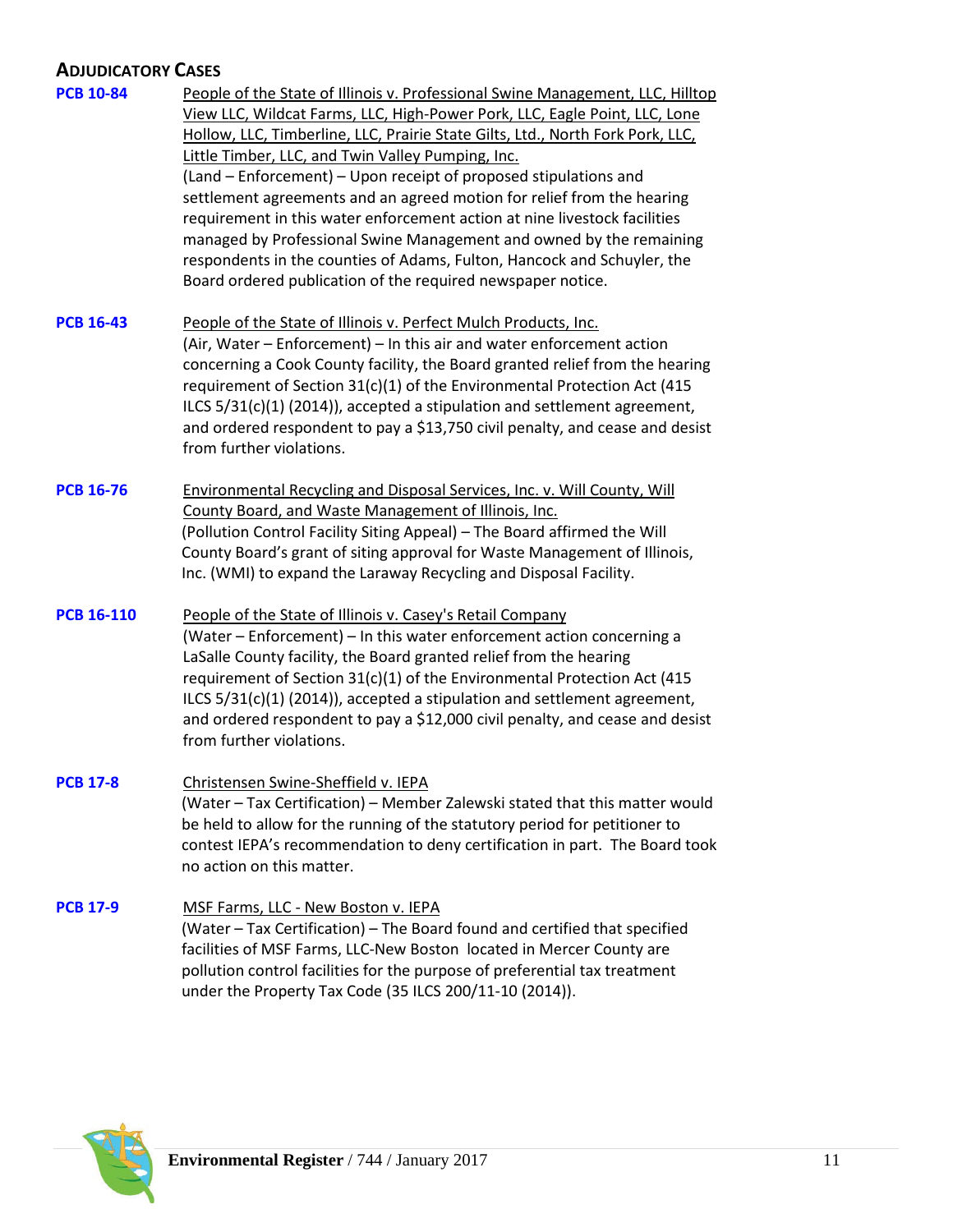# **ADJUDICATORY CASES**

| <b>PCB 10-84</b>  | People of the State of Illinois v. Professional Swine Management, LLC, Hilltop<br>View LLC, Wildcat Farms, LLC, High-Power Pork, LLC, Eagle Point, LLC, Lone<br>Hollow, LLC, Timberline, LLC, Prairie State Gilts, Ltd., North Fork Pork, LLC,<br>Little Timber, LLC, and Twin Valley Pumping, Inc.<br>(Land – Enforcement) – Upon receipt of proposed stipulations and<br>settlement agreements and an agreed motion for relief from the hearing<br>requirement in this water enforcement action at nine livestock facilities<br>managed by Professional Swine Management and owned by the remaining<br>respondents in the counties of Adams, Fulton, Hancock and Schuyler, the<br>Board ordered publication of the required newspaper notice. |
|-------------------|-------------------------------------------------------------------------------------------------------------------------------------------------------------------------------------------------------------------------------------------------------------------------------------------------------------------------------------------------------------------------------------------------------------------------------------------------------------------------------------------------------------------------------------------------------------------------------------------------------------------------------------------------------------------------------------------------------------------------------------------------|
| <b>PCB 16-43</b>  | People of the State of Illinois v. Perfect Mulch Products, Inc.<br>(Air, Water – Enforcement) – In this air and water enforcement action<br>concerning a Cook County facility, the Board granted relief from the hearing<br>requirement of Section 31(c)(1) of the Environmental Protection Act (415<br>ILCS 5/31(c)(1) (2014)), accepted a stipulation and settlement agreement,<br>and ordered respondent to pay a \$13,750 civil penalty, and cease and desist<br>from further violations.                                                                                                                                                                                                                                                   |
| <b>PCB 16-76</b>  | Environmental Recycling and Disposal Services, Inc. v. Will County, Will<br>County Board, and Waste Management of Illinois, Inc.<br>(Pollution Control Facility Siting Appeal) - The Board affirmed the Will<br>County Board's grant of siting approval for Waste Management of Illinois,<br>Inc. (WMI) to expand the Laraway Recycling and Disposal Facility.                                                                                                                                                                                                                                                                                                                                                                                  |
| <b>PCB 16-110</b> | People of the State of Illinois v. Casey's Retail Company<br>(Water – Enforcement) – In this water enforcement action concerning a<br>LaSalle County facility, the Board granted relief from the hearing<br>requirement of Section 31(c)(1) of the Environmental Protection Act (415<br>ILCS 5/31(c)(1) (2014)), accepted a stipulation and settlement agreement,<br>and ordered respondent to pay a \$12,000 civil penalty, and cease and desist<br>from further violations.                                                                                                                                                                                                                                                                   |
| <b>PCB 17-8</b>   | Christensen Swine-Sheffield v. IEPA<br>(Water - Tax Certification) - Member Zalewski stated that this matter would<br>be held to allow for the running of the statutory period for petitioner to<br>contest IEPA's recommendation to deny certification in part. The Board took<br>no action on this matter.                                                                                                                                                                                                                                                                                                                                                                                                                                    |
| <b>PCB 17-9</b>   | MSF Farms, LLC - New Boston v. IEPA<br>(Water - Tax Certification) - The Board found and certified that specified<br>facilities of MSF Farms, LLC-New Boston located in Mercer County are<br>pollution control facilities for the purpose of preferential tax treatment<br>under the Property Tax Code (35 ILCS 200/11-10 (2014)).                                                                                                                                                                                                                                                                                                                                                                                                              |

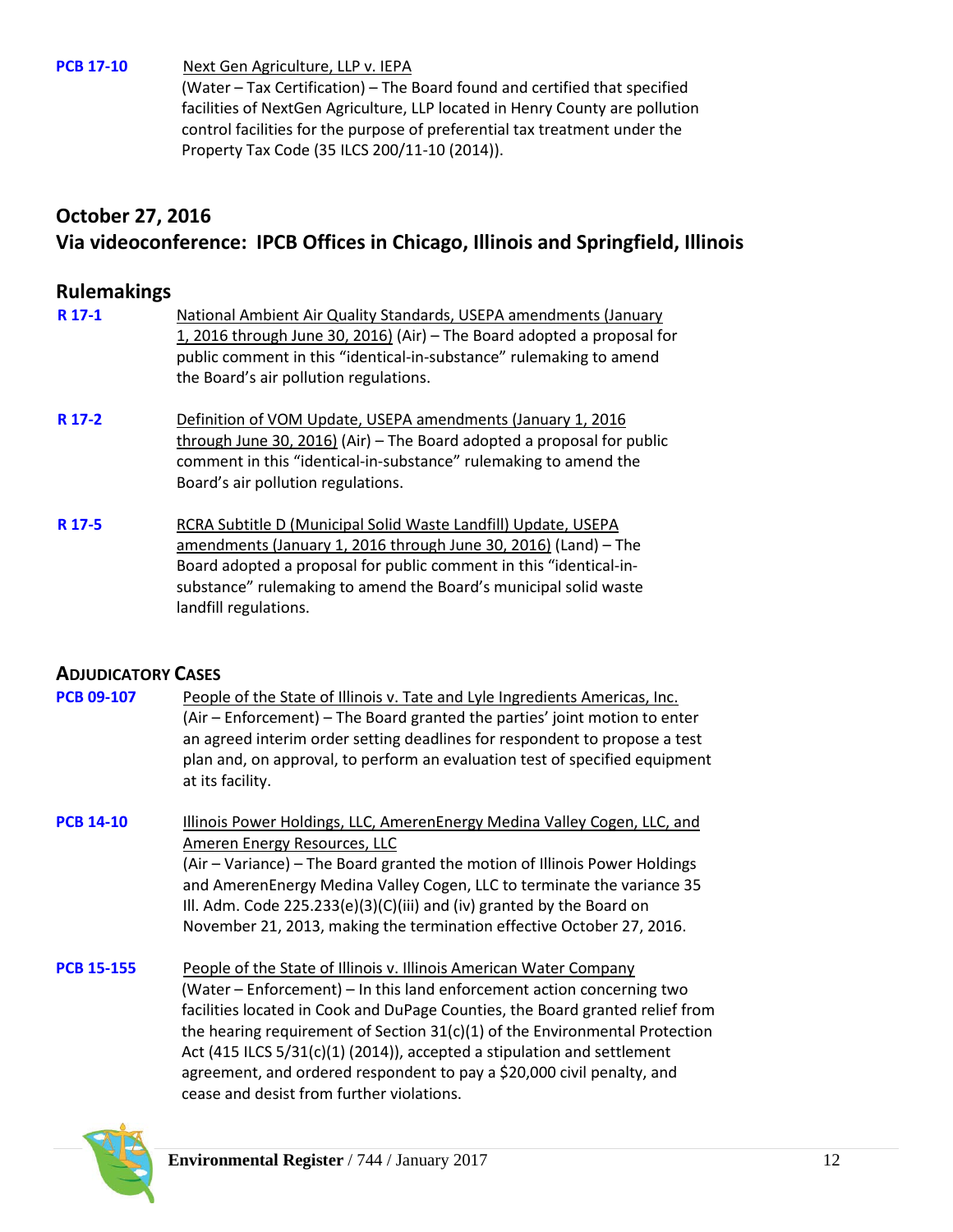**[PCB 17-10](http://www.ipcb.state.il.us/COOL/external/CaseView.aspx?referer=results&case=15341)** Next Gen Agriculture, LLP v. IEPA

(Water – Tax Certification) – The Board found and certified that specified facilities of NextGen Agriculture, LLP located in Henry County are pollution control facilities for the purpose of preferential tax treatment under the Property Tax Code (35 ILCS 200/11-10 (2014)).

# **October 27, 2016 Via videoconference: IPCB Offices in Chicago, Illinois and Springfield, Illinois**

## **Rulemakings**

| R 17-1 | National Ambient Air Quality Standards, USEPA amendments (January<br>1, 2016 through June 30, 2016) (Air) - The Board adopted a proposal for<br>public comment in this "identical-in-substance" rulemaking to amend<br>the Board's air pollution regulations.                                        |
|--------|------------------------------------------------------------------------------------------------------------------------------------------------------------------------------------------------------------------------------------------------------------------------------------------------------|
| R 17-2 | Definition of VOM Update, USEPA amendments (January 1, 2016<br>through June 30, 2016) (Air) $-$ The Board adopted a proposal for public<br>comment in this "identical-in-substance" rulemaking to amend the<br>Board's air pollution regulations.                                                    |
| R 17-5 | RCRA Subtitle D (Municipal Solid Waste Landfill) Update, USEPA<br>amendments (January 1, 2016 through June 30, 2016) (Land) - The<br>Board adopted a proposal for public comment in this "identical-in-<br>substance" rulemaking to amend the Board's municipal solid waste<br>landfill regulations. |

## **ADJUDICATORY CASES**

**[PCB 09-107](http://www.ipcb.state.il.us/COOL/external/CaseView.aspx?referer=results&case=13675)** People of the State of Illinois v. Tate and Lyle Ingredients Americas, Inc. (Air – Enforcement) – The Board granted the parties' joint motion to enter an agreed interim order setting deadlines for respondent to propose a test plan and, on approval, to perform an evaluation test of specified equipment at its facility.

**[PCB 14-10](http://www.ipcb.state.il.us/COOL/external/CaseView.aspx?referer=results&case=14665)** Illinois Power Holdings, LLC, AmerenEnergy Medina Valley Cogen, LLC, and Ameren Energy Resources, LLC (Air – Variance) – The Board granted the motion of Illinois Power Holdings and AmerenEnergy Medina Valley Cogen, LLC to terminate the variance 35 Ill. Adm. Code 225.233(e)(3)(C)(iii) and (iv) granted by the Board on November 21, 2013, making the termination effective October 27, 2016.

**[PCB 15-155](http://www.ipcb.state.il.us/COOL/external/CaseView.aspx?referer=results&case=15083)** People of the State of Illinois v. Illinois American Water Company (Water – Enforcement) – In this land enforcement action concerning two facilities located in Cook and DuPage Counties, the Board granted relief from the hearing requirement of Section 31(c)(1) of the Environmental Protection Act (415 ILCS 5/31(c)(1) (2014)), accepted a stipulation and settlement agreement, and ordered respondent to pay a \$20,000 civil penalty, and cease and desist from further violations.

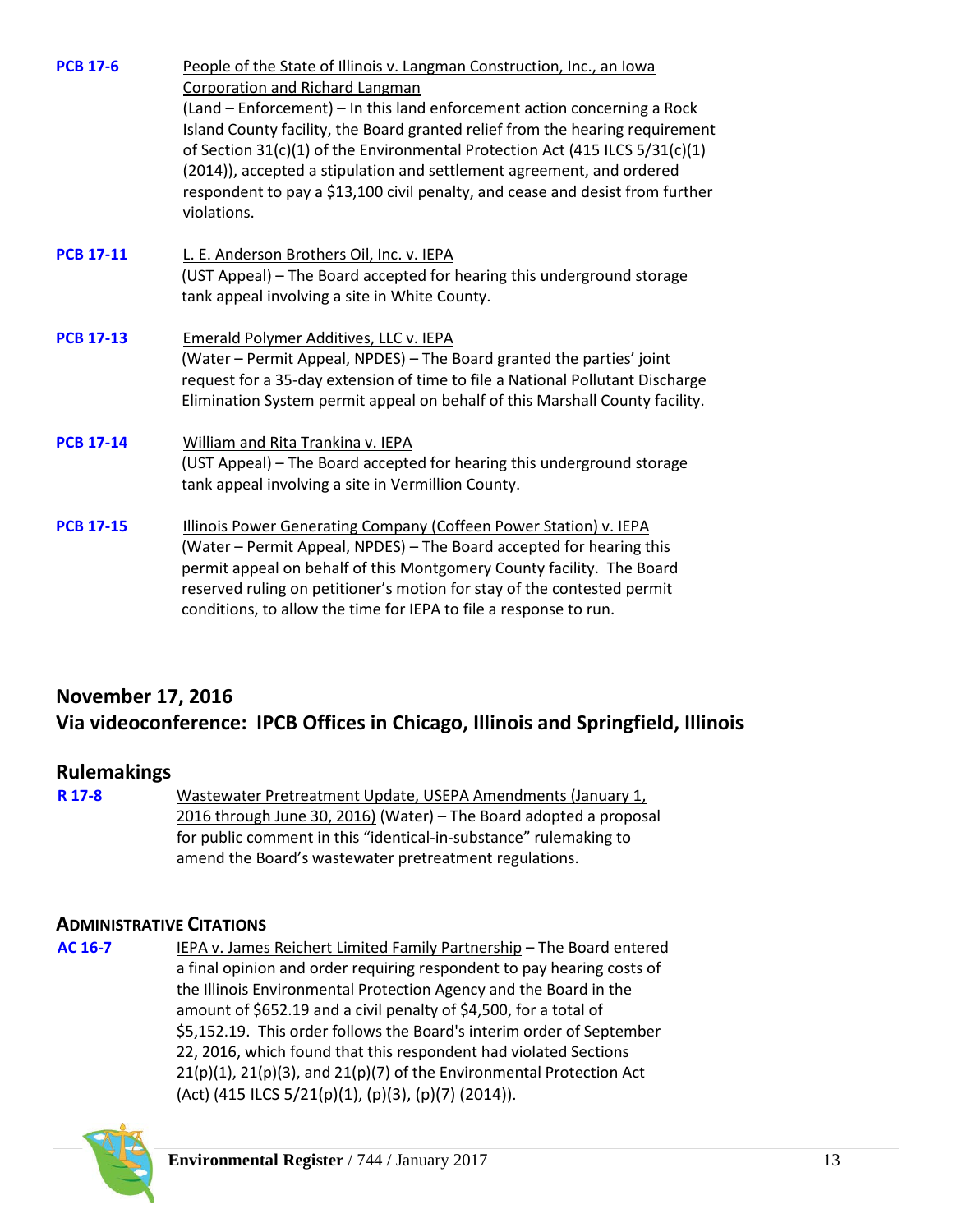| <b>PCB 17-6</b>  | People of the State of Illinois v. Langman Construction, Inc., an Iowa<br>Corporation and Richard Langman                                                                                                                                                                                                                                                                                                          |
|------------------|--------------------------------------------------------------------------------------------------------------------------------------------------------------------------------------------------------------------------------------------------------------------------------------------------------------------------------------------------------------------------------------------------------------------|
|                  | (Land - Enforcement) - In this land enforcement action concerning a Rock<br>Island County facility, the Board granted relief from the hearing requirement<br>of Section 31(c)(1) of the Environmental Protection Act (415 ILCS 5/31(c)(1)<br>(2014)), accepted a stipulation and settlement agreement, and ordered<br>respondent to pay a \$13,100 civil penalty, and cease and desist from further<br>violations. |
| <b>PCB 17-11</b> | L. E. Anderson Brothers Oil, Inc. v. IEPA<br>(UST Appeal) - The Board accepted for hearing this underground storage<br>tank appeal involving a site in White County.                                                                                                                                                                                                                                               |
| <b>PCB 17-13</b> | <b>Emerald Polymer Additives, LLC v. IEPA</b><br>(Water - Permit Appeal, NPDES) - The Board granted the parties' joint<br>request for a 35-day extension of time to file a National Pollutant Discharge<br>Elimination System permit appeal on behalf of this Marshall County facility.                                                                                                                            |
| <b>PCB 17-14</b> | William and Rita Trankina v. IEPA<br>(UST Appeal) - The Board accepted for hearing this underground storage<br>tank appeal involving a site in Vermillion County.                                                                                                                                                                                                                                                  |
| <b>PCB 17-15</b> | Illinois Power Generating Company (Coffeen Power Station) v. IEPA<br>(Water - Permit Appeal, NPDES) - The Board accepted for hearing this<br>permit appeal on behalf of this Montgomery County facility. The Board<br>reserved ruling on petitioner's motion for stay of the contested permit<br>conditions, to allow the time for IEPA to file a response to run.                                                 |

# **November 17, 2016 Via videoconference: IPCB Offices in Chicago, Illinois and Springfield, Illinois**

## **Rulemakings**

**[R 17-8](http://www.ipcb.state.il.us/COOL/external/CaseView.aspx?referer=results&case=15302)** Wastewater Pretreatment Update, USEPA Amendments (January 1, 2016 through June 30, 2016) (Water) – The Board adopted a proposal for public comment in this "identical-in-substance" rulemaking to amend the Board's wastewater pretreatment regulations.

## **ADMINISTRATIVE CITATIONS**

**[AC 16-7](http://www.ipcb.state.il.us/COOL/external/CaseView.aspx?referer=results&case=15262)** IEPA v. James Reichert Limited Family Partnership – The Board entered a final opinion and order requiring respondent to pay hearing costs of the Illinois Environmental Protection Agency and the Board in the amount of \$652.19 and a civil penalty of \$4,500, for a total of \$5,152.19. This order follows the Board's interim order of September 22, 2016, which found that this respondent had violated Sections  $21(p)(1)$ ,  $21(p)(3)$ , and  $21(p)(7)$  of the Environmental Protection Act (Act) (415 ILCS 5/21(p)(1), (p)(3), (p)(7) (2014)).

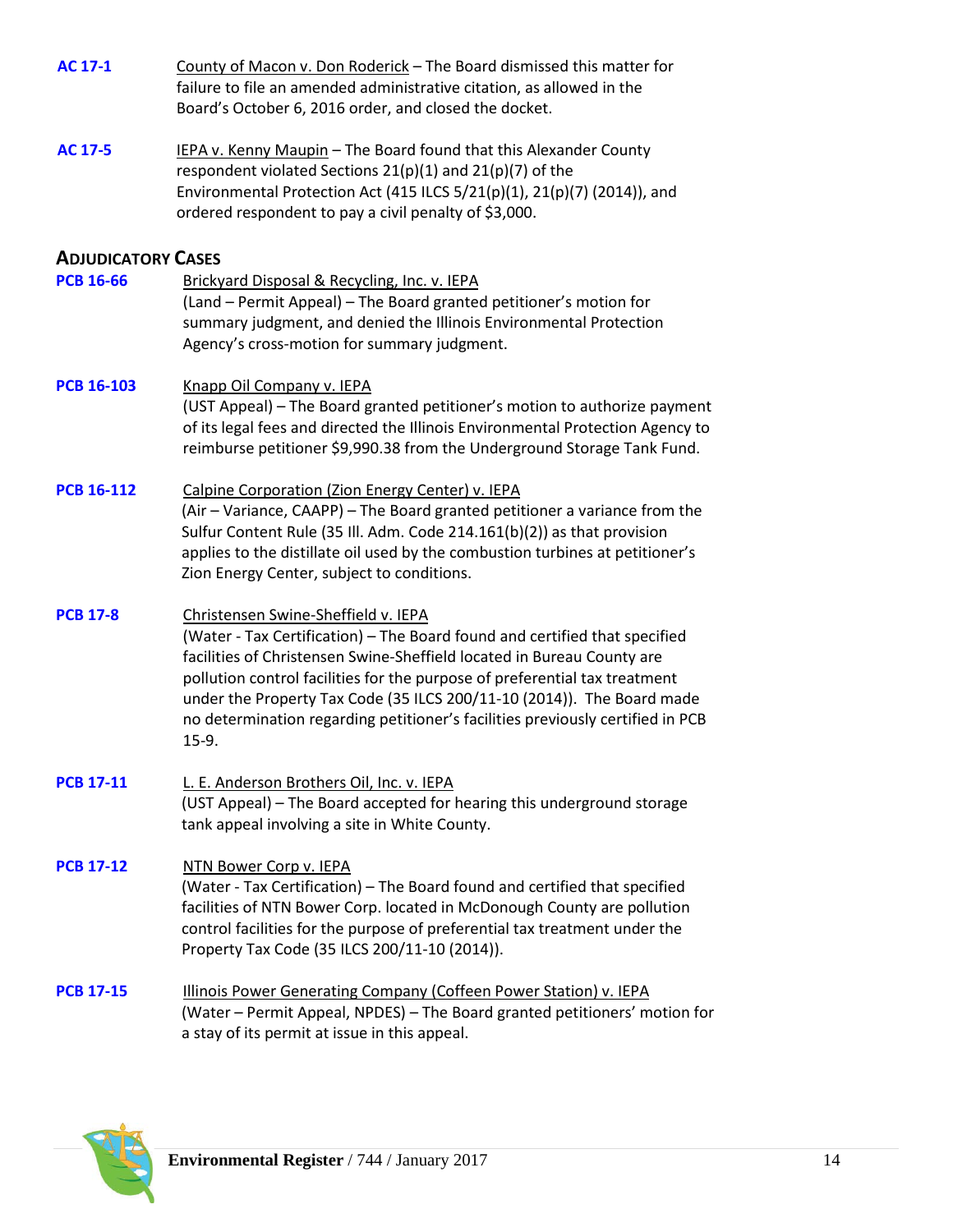| <b>AC 17-1</b>            | County of Macon v. Don Roderick - The Board dismissed this matter for<br>failure to file an amended administrative citation, as allowed in the<br>Board's October 6, 2016 order, and closed the docket.                                                                                                                                                                                                                                          |
|---------------------------|--------------------------------------------------------------------------------------------------------------------------------------------------------------------------------------------------------------------------------------------------------------------------------------------------------------------------------------------------------------------------------------------------------------------------------------------------|
| <b>AC 17-5</b>            | IEPA v. Kenny Maupin - The Board found that this Alexander County<br>respondent violated Sections $21(p)(1)$ and $21(p)(7)$ of the<br>Environmental Protection Act (415 ILCS 5/21(p)(1), 21(p)(7) (2014)), and<br>ordered respondent to pay a civil penalty of \$3,000.                                                                                                                                                                          |
| <b>ADJUDICATORY CASES</b> |                                                                                                                                                                                                                                                                                                                                                                                                                                                  |
| <b>PCB 16-66</b>          | Brickyard Disposal & Recycling, Inc. v. IEPA<br>(Land - Permit Appeal) - The Board granted petitioner's motion for<br>summary judgment, and denied the Illinois Environmental Protection<br>Agency's cross-motion for summary judgment.                                                                                                                                                                                                          |
| <b>PCB 16-103</b>         | Knapp Oil Company v. IEPA<br>(UST Appeal) - The Board granted petitioner's motion to authorize payment<br>of its legal fees and directed the Illinois Environmental Protection Agency to<br>reimburse petitioner \$9,990.38 from the Underground Storage Tank Fund.                                                                                                                                                                              |
| <b>PCB 16-112</b>         | Calpine Corporation (Zion Energy Center) v. IEPA<br>(Air - Variance, CAAPP) - The Board granted petitioner a variance from the<br>Sulfur Content Rule (35 Ill. Adm. Code 214.161(b)(2)) as that provision<br>applies to the distillate oil used by the combustion turbines at petitioner's<br>Zion Energy Center, subject to conditions.                                                                                                         |
| <b>PCB 17-8</b>           | Christensen Swine-Sheffield v. IEPA<br>(Water - Tax Certification) - The Board found and certified that specified<br>facilities of Christensen Swine-Sheffield located in Bureau County are<br>pollution control facilities for the purpose of preferential tax treatment<br>under the Property Tax Code (35 ILCS 200/11-10 (2014)). The Board made<br>no determination regarding petitioner's facilities previously certified in PCB<br>$15-9.$ |
| <b>PCB 17-11</b>          | L. E. Anderson Brothers Oil, Inc. v. IEPA<br>(UST Appeal) - The Board accepted for hearing this underground storage<br>tank appeal involving a site in White County.                                                                                                                                                                                                                                                                             |
| <b>PCB 17-12</b>          | NTN Bower Corp v. IEPA<br>(Water - Tax Certification) – The Board found and certified that specified<br>facilities of NTN Bower Corp. located in McDonough County are pollution<br>control facilities for the purpose of preferential tax treatment under the<br>Property Tax Code (35 ILCS 200/11-10 (2014)).                                                                                                                                   |
| <b>PCB 17-15</b>          | Illinois Power Generating Company (Coffeen Power Station) v. IEPA<br>(Water - Permit Appeal, NPDES) - The Board granted petitioners' motion for<br>a stay of its permit at issue in this appeal.                                                                                                                                                                                                                                                 |

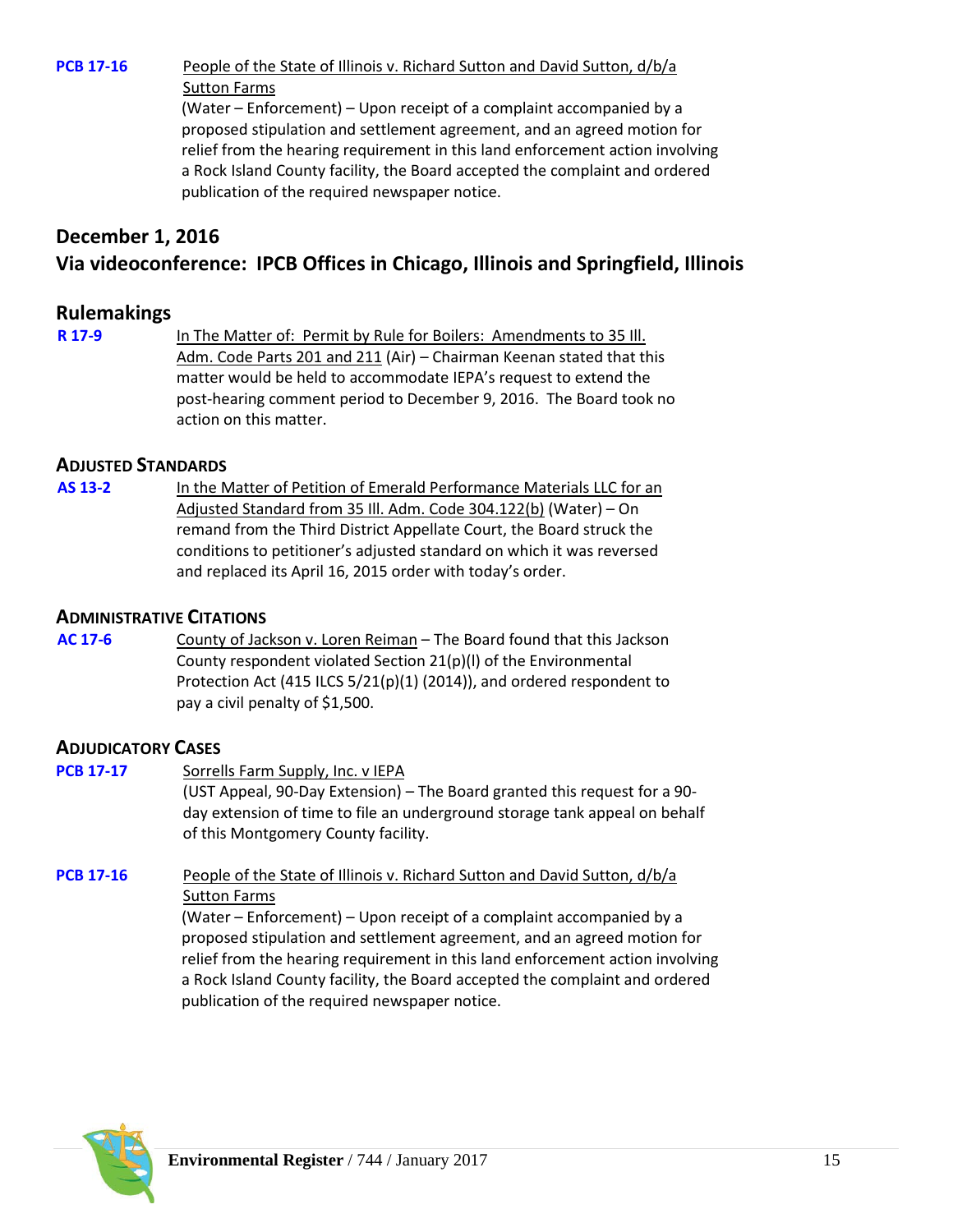**[PCB 17-16](http://www.ipcb.state.il.us/COOL/external/CaseView.aspx?referer=results&case=15356)** People of the State of Illinois v. Richard Sutton and David Sutton, d/b/a Sutton Farms

> (Water – Enforcement) – Upon receipt of a complaint accompanied by a proposed stipulation and settlement agreement, and an agreed motion for relief from the hearing requirement in this land enforcement action involving a Rock Island County facility, the Board accepted the complaint and ordered publication of the required newspaper notice.

# **December 1, 2016 Via videoconference: IPCB Offices in Chicago, Illinois and Springfield, Illinois**

## **Rulemakings**

**[R 17-9](http://www.ipcb.state.il.us/COOL/external/CaseView.aspx?referer=results&case=15334)** In The Matter of: Permit by Rule for Boilers: Amendments to 35 Ill. Adm. Code Parts 201 and 211 (Air) – Chairman Keenan stated that this matter would be held to accommodate IEPA's request to extend the post-hearing comment period to December 9, 2016. The Board took no action on this matter.

#### **ADJUSTED STANDARDS**

**[AS 13-2](http://www.ipcb.state.il.us/COOL/external/CaseView.aspx?referer=results&case=14510)** In the Matter of Petition of Emerald Performance Materials LLC for an Adjusted Standard from 35 Ill. Adm. Code 304.122(b) (Water) – On remand from the Third District Appellate Court, the Board struck the conditions to petitioner's adjusted standard on which it was reversed and replaced its April 16, 2015 order with today's order.

#### **ADMINISTRATIVE CITATIONS**

**[AC 17-6](http://www.ipcb.state.il.us/COOL/external/CaseView.aspx?referer=results&case=15343)** County of Jackson v. Loren Reiman – The Board found that this Jackson County respondent violated Section 21(p)(l) of the Environmental Protection Act (415 ILCS 5/21(p)(1) (2014)), and ordered respondent to pay a civil penalty of \$1,500.

## **ADJUDICATORY CASES**

| <b>PCB 17-17</b> | Sorrells Farm Supply, Inc. v IEPA                                                                                 |
|------------------|-------------------------------------------------------------------------------------------------------------------|
|                  | (UST Appeal, 90-Day Extension) – The Board granted this request for a 90-                                         |
|                  | day extension of time to file an underground storage tank appeal on behalf<br>of this Montgomery County facility. |
| <b>PCB 17-16</b> | People of the State of Illinois v. Richard Sutton and David Sutton, d/b/a                                         |

Sutton Farms (Water – Enforcement) – Upon receipt of a complaint accompanied by a proposed stipulation and settlement agreement, and an agreed motion for relief from the hearing requirement in this land enforcement action involving a Rock Island County facility, the Board accepted the complaint and ordered



publication of the required newspaper notice.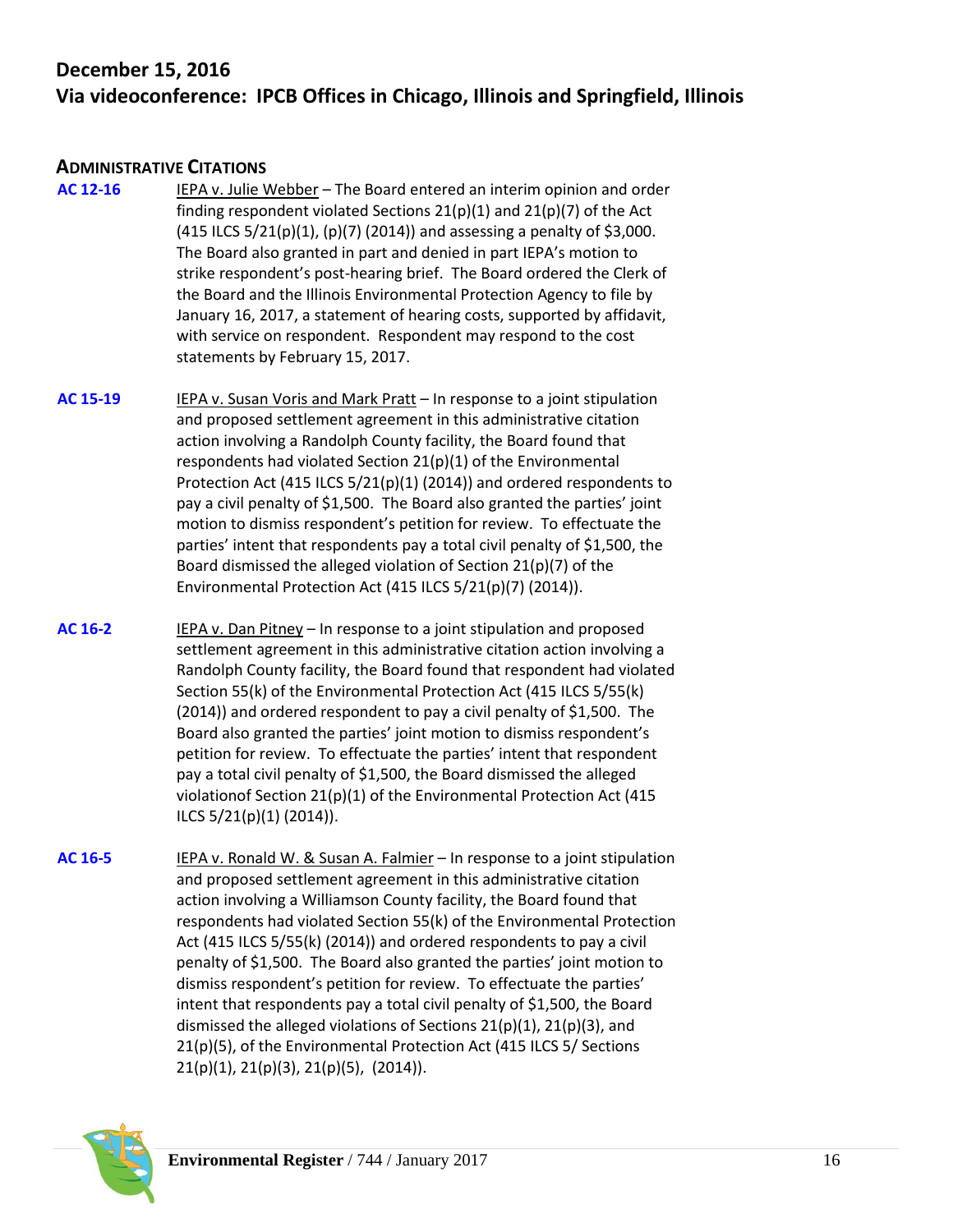# **December 15, 2016 Via videoconference: IPCB Offices in Chicago, Illinois and Springfield, Illinois**

## **ADMINISTRATIVE CITATIONS**

- **[AC 12-16](http://www.ipcb.state.il.us/COOL/external/CaseView.aspx?referer=results&case=14278)** IEPA v. Julie Webber The Board entered an interim opinion and order finding respondent violated Sections  $21(p)(1)$  and  $21(p)(7)$  of the Act (415 ILCS  $5/21(p)(1)$ ,  $(p)(7)$  (2014)) and assessing a penalty of \$3,000. The Board also granted in part and denied in part IEPA's motion to strike respondent's post-hearing brief. The Board ordered the Clerk of the Board and the Illinois Environmental Protection Agency to file by January 16, 2017, a statement of hearing costs, supported by affidavit, with service on respondent. Respondent may respond to the cost statements by February 15, 2017.
- **[AC 15-19](http://www.ipcb.state.il.us/COOL/external/CaseView.aspx?referer=results&case=14996)** IEPA v. Susan Voris and Mark Pratt In response to a joint stipulation and proposed settlement agreement in this administrative citation action involving a Randolph County facility, the Board found that respondents had violated Section 21(p)(1) of the Environmental Protection Act (415 ILCS 5/21(p)(1) (2014)) and ordered respondents to pay a civil penalty of \$1,500. The Board also granted the parties' joint motion to dismiss respondent's petition for review. To effectuate the parties' intent that respondents pay a total civil penalty of \$1,500, the Board dismissed the alleged violation of Section 21(p)(7) of the Environmental Protection Act (415 ILCS 5/21(p)(7) (2014)).
- **[AC 16-2](http://www.ipcb.state.il.us/COOL/external/CaseView.aspx?referer=results&case=15233)** IEPA v. Dan Pitney In response to a joint stipulation and proposed settlement agreement in this administrative citation action involving a Randolph County facility, the Board found that respondent had violated Section 55(k) of the Environmental Protection Act (415 ILCS 5/55(k) (2014)) and ordered respondent to pay a civil penalty of \$1,500. The Board also granted the parties' joint motion to dismiss respondent's petition for review. To effectuate the parties' intent that respondent pay a total civil penalty of \$1,500, the Board dismissed the alleged violationof Section 21(p)(1) of the Environmental Protection Act (415 ILCS 5/21(p)(1) (2014)).
- **[AC 16-5](http://www.ipcb.state.il.us/COOL/external/CaseView.aspx?referer=results&case=15251)** IEPA v. Ronald W. & Susan A. Falmier In response to a joint stipulation and proposed settlement agreement in this administrative citation action involving a Williamson County facility, the Board found that respondents had violated Section 55(k) of the Environmental Protection Act (415 ILCS 5/55(k) (2014)) and ordered respondents to pay a civil penalty of \$1,500. The Board also granted the parties' joint motion to dismiss respondent's petition for review. To effectuate the parties' intent that respondents pay a total civil penalty of \$1,500, the Board dismissed the alleged violations of Sections  $21(p)(1)$ ,  $21(p)(3)$ , and 21(p)(5), of the Environmental Protection Act (415 ILCS 5/ Sections 21(p)(1), 21(p)(3), 21(p)(5), (2014)).

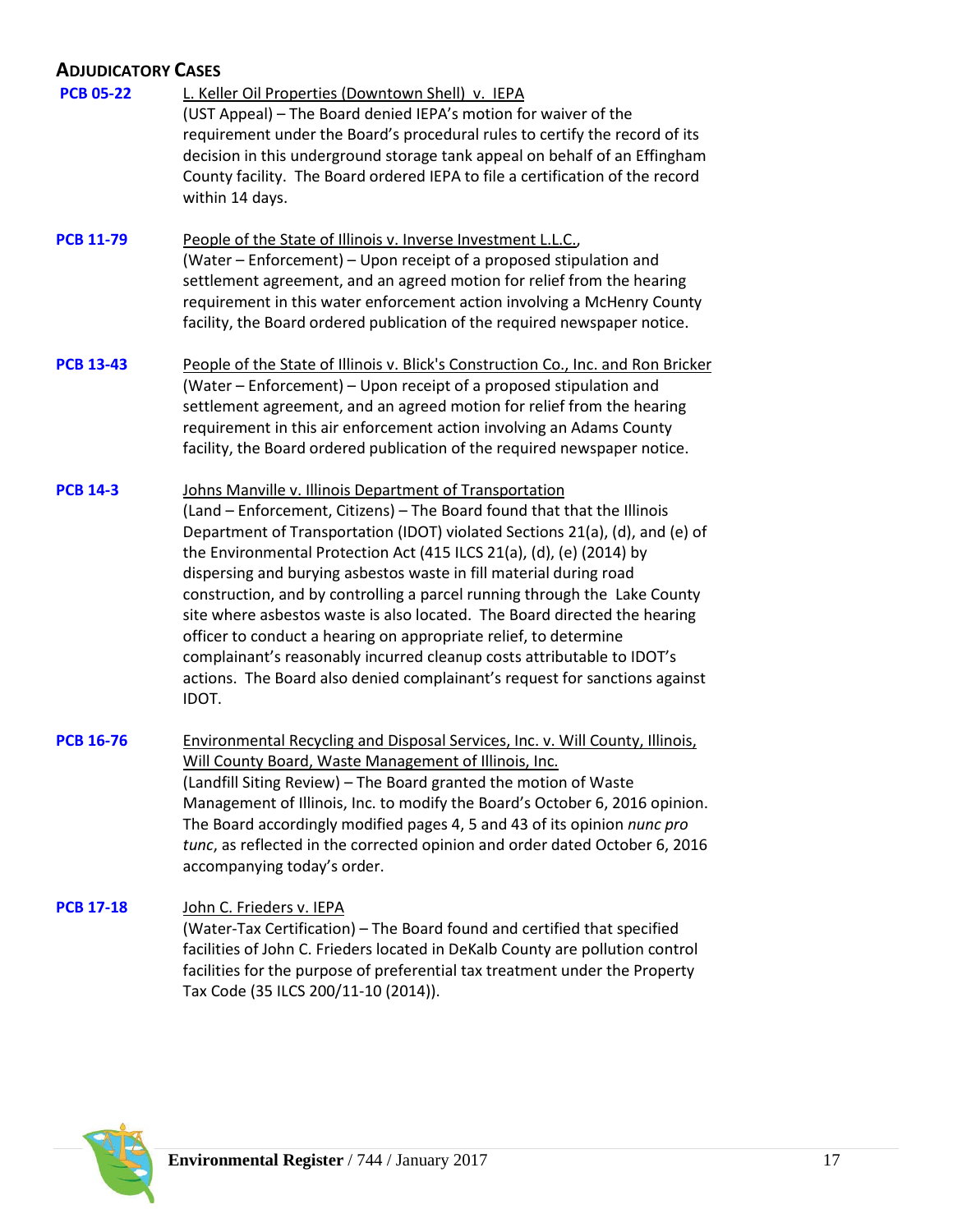# **ADJUDICATORY CASES**

| <b>PCB 05-22</b> | L. Keller Oil Properties (Downtown Shell) v. IEPA<br>(UST Appeal) - The Board denied IEPA's motion for waiver of the<br>requirement under the Board's procedural rules to certify the record of its<br>decision in this underground storage tank appeal on behalf of an Effingham<br>County facility. The Board ordered IEPA to file a certification of the record<br>within 14 days.                                                                                                                                                                                                                                                                                                                                                                           |
|------------------|-----------------------------------------------------------------------------------------------------------------------------------------------------------------------------------------------------------------------------------------------------------------------------------------------------------------------------------------------------------------------------------------------------------------------------------------------------------------------------------------------------------------------------------------------------------------------------------------------------------------------------------------------------------------------------------------------------------------------------------------------------------------|
| <b>PCB 11-79</b> | People of the State of Illinois v. Inverse Investment L.L.C.,<br>(Water - Enforcement) - Upon receipt of a proposed stipulation and<br>settlement agreement, and an agreed motion for relief from the hearing<br>requirement in this water enforcement action involving a McHenry County<br>facility, the Board ordered publication of the required newspaper notice.                                                                                                                                                                                                                                                                                                                                                                                           |
| <b>PCB 13-43</b> | People of the State of Illinois v. Blick's Construction Co., Inc. and Ron Bricker<br>(Water – Enforcement) – Upon receipt of a proposed stipulation and<br>settlement agreement, and an agreed motion for relief from the hearing<br>requirement in this air enforcement action involving an Adams County<br>facility, the Board ordered publication of the required newspaper notice.                                                                                                                                                                                                                                                                                                                                                                          |
| <b>PCB 14-3</b>  | Johns Manville v. Illinois Department of Transportation<br>(Land - Enforcement, Citizens) - The Board found that that the Illinois<br>Department of Transportation (IDOT) violated Sections 21(a), (d), and (e) of<br>the Environmental Protection Act (415 ILCS 21(a), (d), (e) (2014) by<br>dispersing and burying asbestos waste in fill material during road<br>construction, and by controlling a parcel running through the Lake County<br>site where asbestos waste is also located. The Board directed the hearing<br>officer to conduct a hearing on appropriate relief, to determine<br>complainant's reasonably incurred cleanup costs attributable to IDOT's<br>actions. The Board also denied complainant's request for sanctions against<br>IDOT. |
| <b>PCB 16-76</b> | <b>Environmental Recycling and Disposal Services, Inc. v. Will County, Illinois,</b><br>Will County Board, Waste Management of Illinois, Inc.<br>(Landfill Siting Review) - The Board granted the motion of Waste<br>Management of Illinois, Inc. to modify the Board's October 6, 2016 opinion.<br>The Board accordingly modified pages 4, 5 and 43 of its opinion nunc pro<br>tunc, as reflected in the corrected opinion and order dated October 6, 2016<br>accompanying today's order.                                                                                                                                                                                                                                                                      |
| <b>PCB 17-18</b> | John C. Frieders v. IEPA<br>(Water-Tax Certification) - The Board found and certified that specified<br>facilities of John C. Frieders located in DeKalb County are pollution control<br>facilities for the purpose of preferential tax treatment under the Property<br>Tax Code (35 ILCS 200/11-10 (2014)).                                                                                                                                                                                                                                                                                                                                                                                                                                                    |

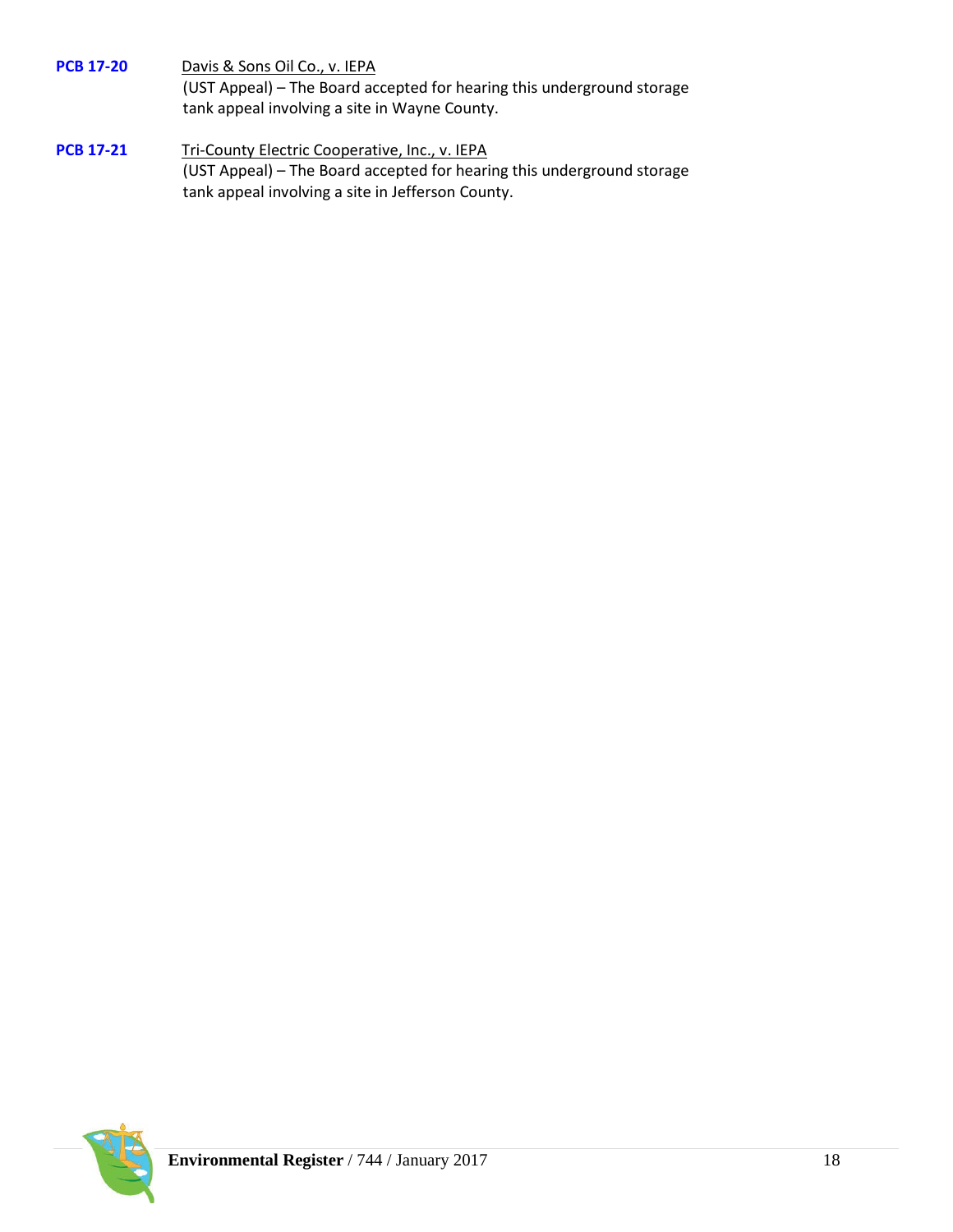**[PCB 17-20](http://www.ipcb.state.il.us/COOL/external/CaseView.aspx?referer=results&case=15361)** Davis & Sons Oil Co., v. IEPA (UST Appeal) – The Board accepted for hearing this underground storage tank appeal involving a site in Wayne County.

**[PCB 17-21](http://www.ipcb.state.il.us/COOL/external/CaseView.aspx?referer=results&case=15362)** Tri-County Electric Cooperative, Inc., v. IEPA (UST Appeal) – The Board accepted for hearing this underground storage tank appeal involving a site in Jefferson County.

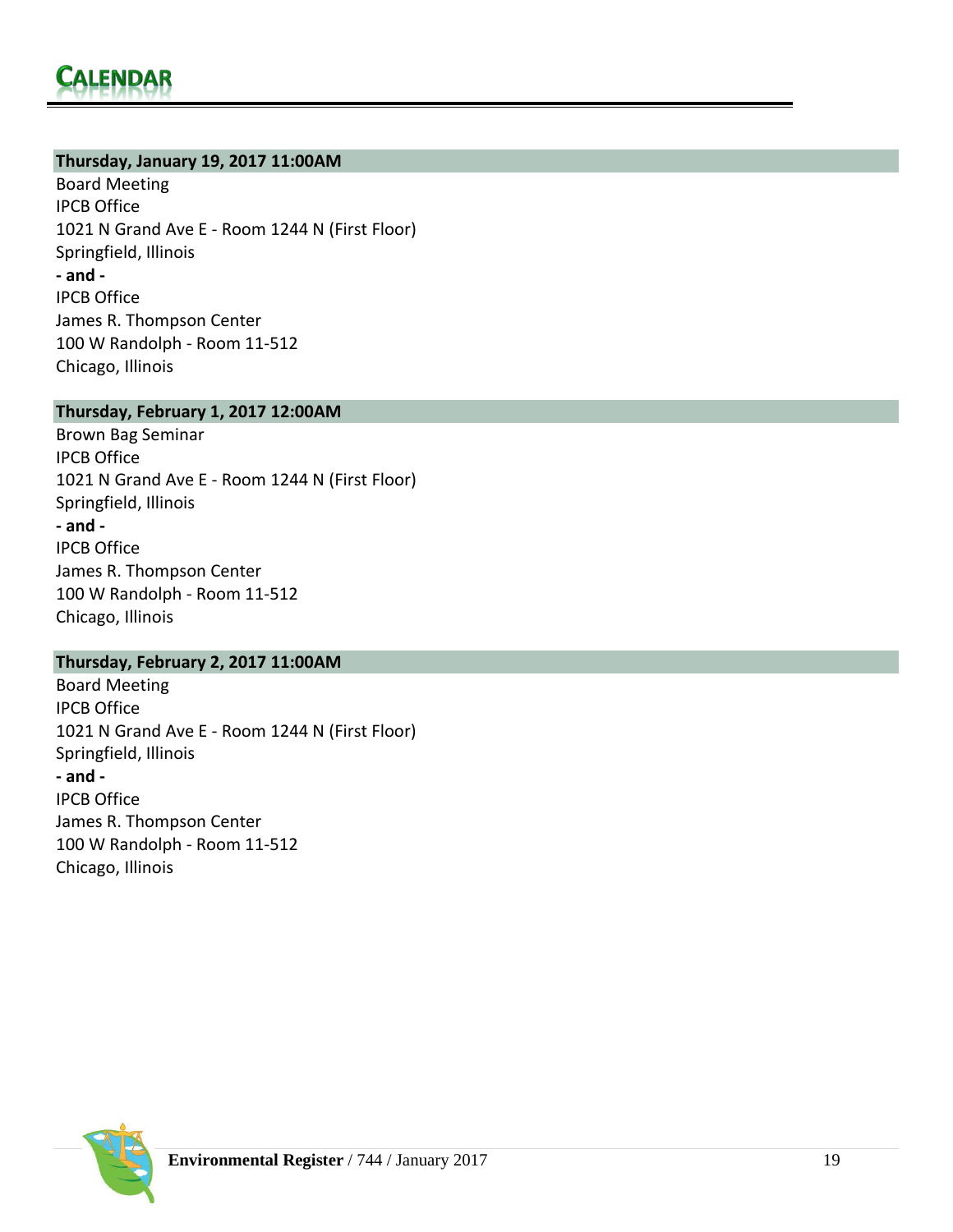#### **Thursday, January 19, 2017 11:00AM**

Board Meeting IPCB Office 1021 N Grand Ave E - Room 1244 N (First Floor) Springfield, Illinois **- and -** IPCB Office James R. Thompson Center 100 W Randolph - Room 11-512 Chicago, Illinois

#### **Thursday, February 1, 2017 12:00AM**

[Brown Bag Seminar](http://www.ipcb.state.il.us/ECLL/BrownBagLunches.asp) IPCB Office 1021 N Grand Ave E - Room 1244 N (First Floor) Springfield, Illinois **- and -** IPCB Office James R. Thompson Center 100 W Randolph - Room 11-512 Chicago, Illinois

#### **Thursday, February 2, 2017 11:00AM**

Board Meeting IPCB Office 1021 N Grand Ave E - Room 1244 N (First Floor) Springfield, Illinois **- and -** IPCB Office James R. Thompson Center 100 W Randolph - Room 11-512 Chicago, Illinois

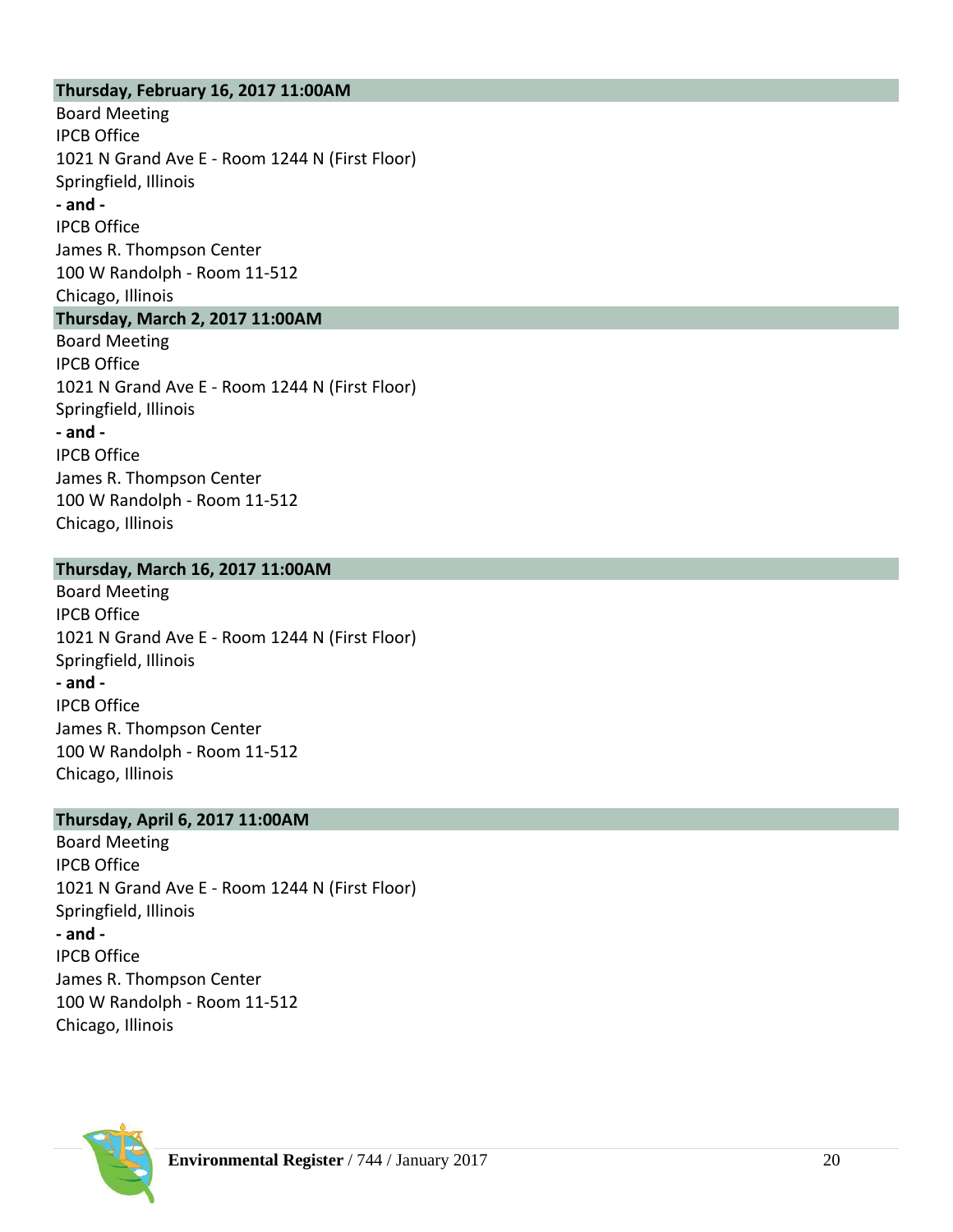#### **Thursday, February 16, 2017 11:00AM**

Board Meeting IPCB Office 1021 N Grand Ave E - Room 1244 N (First Floor) Springfield, Illinois **- and -** IPCB Office James R. Thompson Center 100 W Randolph - Room 11-512 Chicago, Illinois **Thursday, March 2, 2017 11:00AM** Board Meeting IPCB Office 1021 N Grand Ave E - Room 1244 N (First Floor) Springfield, Illinois **- and -** IPCB Office James R. Thompson Center 100 W Randolph - Room 11-512 Chicago, Illinois

#### **Thursday, March 16, 2017 11:00AM**

Board Meeting IPCB Office 1021 N Grand Ave E - Room 1244 N (First Floor) Springfield, Illinois **- and -** IPCB Office James R. Thompson Center 100 W Randolph - Room 11-512 Chicago, Illinois

#### **Thursday, April 6, 2017 11:00AM**

Board Meeting IPCB Office 1021 N Grand Ave E - Room 1244 N (First Floor) Springfield, Illinois **- and -** IPCB Office James R. Thompson Center 100 W Randolph - Room 11-512 Chicago, Illinois

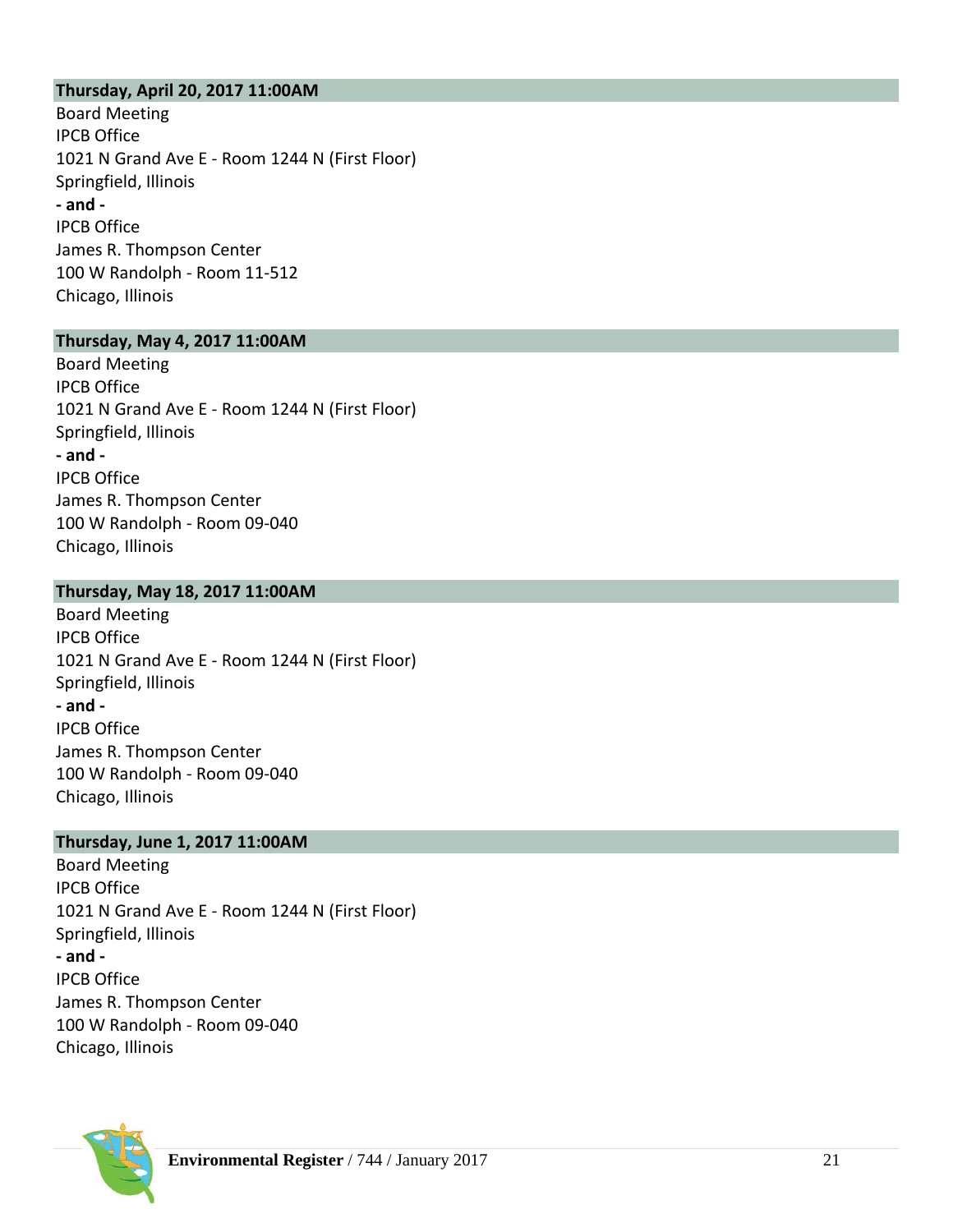#### **Thursday, April 20, 201 7 11:00AM**

[Board Meeting](http://www.ipcb.state.il.us/ECLL/BrownBagLunches.asp) IPCB Office 1021 N Grand Ave E - Room 1244 N (First Floor) Springfield, Illinois **- and -** IPCB Office James R. Thompson Center 100 W Randolph - Room 11 -512 Chicago, Illinois

#### **Thursday, May 4, 201 7 11:00AM**

[Board Meeting](http://www.ipcb.state.il.us/ECLL/BrownBagLunches.asp) IPCB Office 1021 N Grand Ave E - Room 1244 N (First Floor) Springfield, Illinois **- and -** IPCB Office James R. Thompson Center 100 W Randolph - Room 09 -040 Chicago, Illinois

#### **Thursday, May 18, 201 7 11:00AM**

[Board Meeting](http://www.ipcb.state.il.us/ECLL/BrownBagLunches.asp) IPCB Office 1021 N Grand Ave E - Room 1244 N (First Floor) Springfield, Illinois **- and -** IPCB Office James R. Thompson Center 100 W Randolph - Room 09 -040 Chicago, Illinois

#### **Thursday, June 1, 201 7 11:00AM**

[Board Meetin](http://www.ipcb.state.il.us/ECLL/BrownBagLunches.asp) g IPCB Office 1021 N Grand Ave E - Room 1244 N (First Floor) Springfield, Illinois **- and -** IPCB Office James R. Thompson Center 100 W Randolph - Room 09 -040 Chicago, Illinois

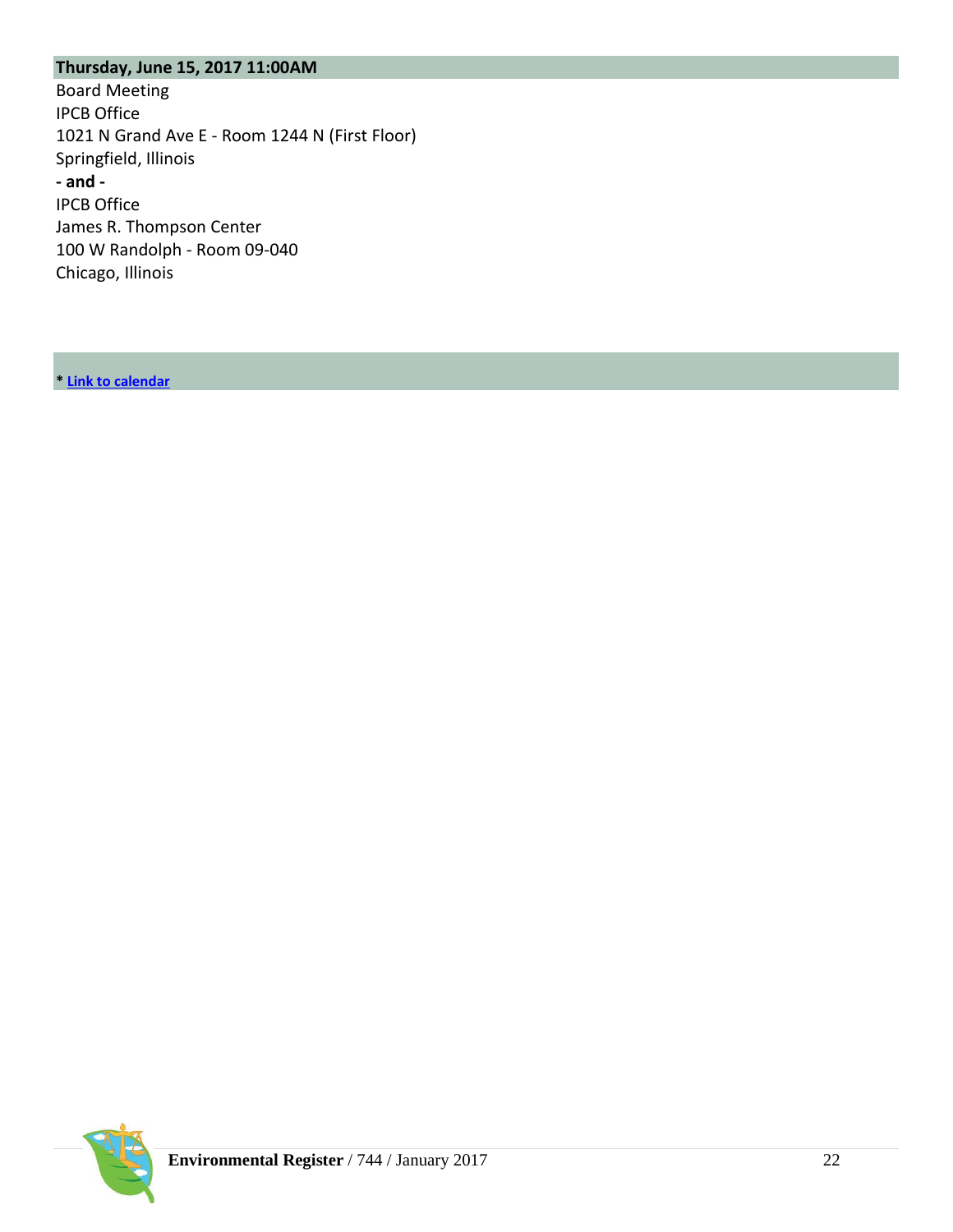## **Thursday, June 15, 2017 11:00AM**

[Board Meeting](http://www.ipcb.state.il.us/ECLL/BrownBagLunches.asp) IPCB Office 1021 N Grand Ave E - Room 1244 N (First Floor) Springfield, Illinois **- and -** IPCB Office James R. Thompson Center 100 W Randolph - Room 09-040 Chicago, Illinois

**[\\*](http://www.ipcb.state.il.us/COOL/external/CalendarofEvents.aspx) [Link to calendar](http://www.ipcb.state.il.us/COOL/external/CalendarofEvents.aspx)**

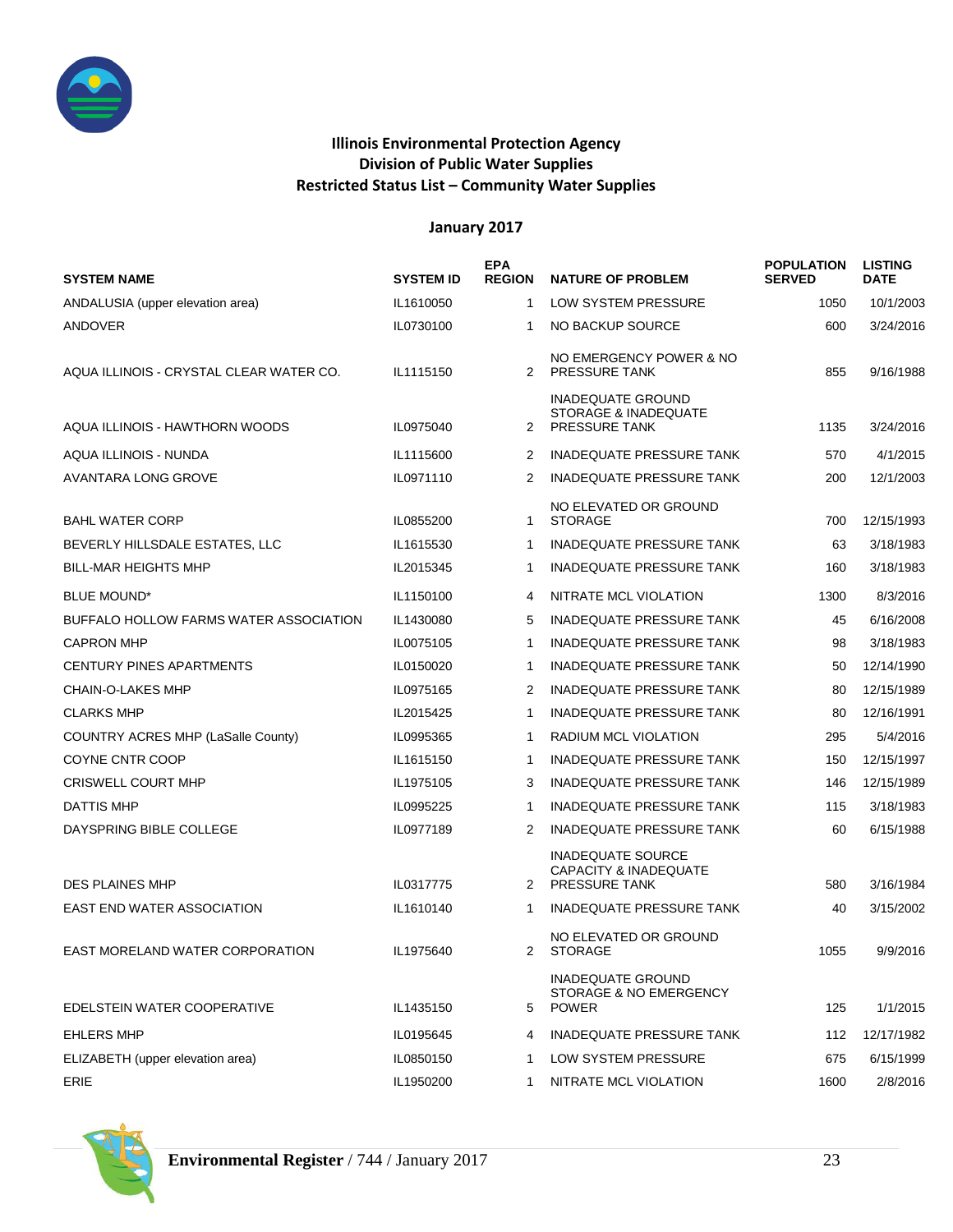

#### **Illinois Environmental Protection Agency Division of Public Water Supplies Restricted Status List – Community Water Supplies**

|                                         |                  | <b>EPA</b>    |                                                                               | <b>POPULATION</b> | <b>LISTING</b> |
|-----------------------------------------|------------------|---------------|-------------------------------------------------------------------------------|-------------------|----------------|
| <b>SYSTEM NAME</b>                      | <b>SYSTEM ID</b> | <b>REGION</b> | <b>NATURE OF PROBLEM</b>                                                      | <b>SERVED</b>     | <b>DATE</b>    |
| ANDALUSIA (upper elevation area)        | IL1610050        | $\mathbf{1}$  | LOW SYSTEM PRESSURE                                                           | 1050              | 10/1/2003      |
| ANDOVER                                 | IL0730100        | 1             | NO BACKUP SOURCE                                                              | 600               | 3/24/2016      |
| AQUA ILLINOIS - CRYSTAL CLEAR WATER CO. | IL1115150        | 2             | NO EMERGENCY POWER & NO<br><b>PRESSURE TANK</b>                               | 855               | 9/16/1988      |
| AQUA ILLINOIS - HAWTHORN WOODS          | IL0975040        | 2             | <b>INADEQUATE GROUND</b><br>STORAGE & INADEQUATE<br><b>PRESSURE TANK</b>      | 1135              | 3/24/2016      |
| AQUA ILLINOIS - NUNDA                   | IL1115600        | 2             | INADEQUATE PRESSURE TANK                                                      | 570               | 4/1/2015       |
| AVANTARA LONG GROVE                     | IL0971110        | 2             | <b>INADEQUATE PRESSURE TANK</b>                                               | 200               | 12/1/2003      |
| <b>BAHL WATER CORP</b>                  | IL0855200        | 1             | NO ELEVATED OR GROUND<br><b>STORAGE</b>                                       | 700               | 12/15/1993     |
| BEVERLY HILLSDALE ESTATES, LLC          | IL1615530        | -1            | INADEQUATE PRESSURE TANK                                                      | 63                | 3/18/1983      |
| <b>BILL-MAR HEIGHTS MHP</b>             | IL2015345        | -1            | <b>INADEQUATE PRESSURE TANK</b>                                               | 160               | 3/18/1983      |
| <b>BLUE MOUND*</b>                      | IL1150100        | 4             | NITRATE MCL VIOLATION                                                         | 1300              | 8/3/2016       |
| BUFFALO HOLLOW FARMS WATER ASSOCIATION  | IL1430080        | 5             | <b>INADEQUATE PRESSURE TANK</b>                                               | 45                | 6/16/2008      |
| <b>CAPRON MHP</b>                       | IL0075105        | $\mathbf{1}$  | <b>INADEQUATE PRESSURE TANK</b>                                               | 98                | 3/18/1983      |
| CENTURY PINES APARTMENTS                | IL0150020        | -1            | <b>INADEQUATE PRESSURE TANK</b>                                               | 50                | 12/14/1990     |
| CHAIN-O-LAKES MHP                       | IL0975165        | 2             | <b>INADEQUATE PRESSURE TANK</b>                                               | 80                | 12/15/1989     |
| <b>CLARKS MHP</b>                       | IL2015425        | $\mathbf{1}$  | <b>INADEQUATE PRESSURE TANK</b>                                               | 80                | 12/16/1991     |
| COUNTRY ACRES MHP (LaSalle County)      | IL0995365        | -1            | RADIUM MCL VIOLATION                                                          | 295               | 5/4/2016       |
| COYNE CNTR COOP                         | IL1615150        | -1            | <b>INADEQUATE PRESSURE TANK</b>                                               | 150               | 12/15/1997     |
| <b>CRISWELL COURT MHP</b>               | IL1975105        | 3             | <b>INADEQUATE PRESSURE TANK</b>                                               | 146               | 12/15/1989     |
| DATTIS MHP                              | IL0995225        | -1            | <b>INADEQUATE PRESSURE TANK</b>                                               | 115               | 3/18/1983      |
| DAYSPRING BIBLE COLLEGE                 | IL0977189        | 2             | <b>INADEQUATE PRESSURE TANK</b>                                               | 60                | 6/15/1988      |
| <b>DES PLAINES MHP</b>                  | IL0317775        | 2             | INADEQUATE SOURCE<br><b>CAPACITY &amp; INADEQUATE</b><br><b>PRESSURE TANK</b> | 580               | 3/16/1984      |
| <b>EAST END WATER ASSOCIATION</b>       | IL1610140        | -1            | <b>INADEQUATE PRESSURE TANK</b>                                               | 40                | 3/15/2002      |
| EAST MORELAND WATER CORPORATION         | IL1975640        | 2             | NO ELEVATED OR GROUND<br><b>STORAGE</b>                                       | 1055              | 9/9/2016       |
| EDELSTEIN WATER COOPERATIVE             | IL1435150        | 5             | <b>INADEQUATE GROUND</b><br>STORAGE & NO EMERGENCY<br><b>POWER</b>            | 125               | 1/1/2015       |
| <b>EHLERS MHP</b>                       | IL0195645        | 4             | INADEQUATE PRESSURE TANK                                                      | 112               | 12/17/1982     |
| ELIZABETH (upper elevation area)        | IL0850150        | -1            | LOW SYSTEM PRESSURE                                                           | 675               | 6/15/1999      |
| ERIE                                    | IL1950200        | 1             | NITRATE MCL VIOLATION                                                         | 1600              | 2/8/2016       |

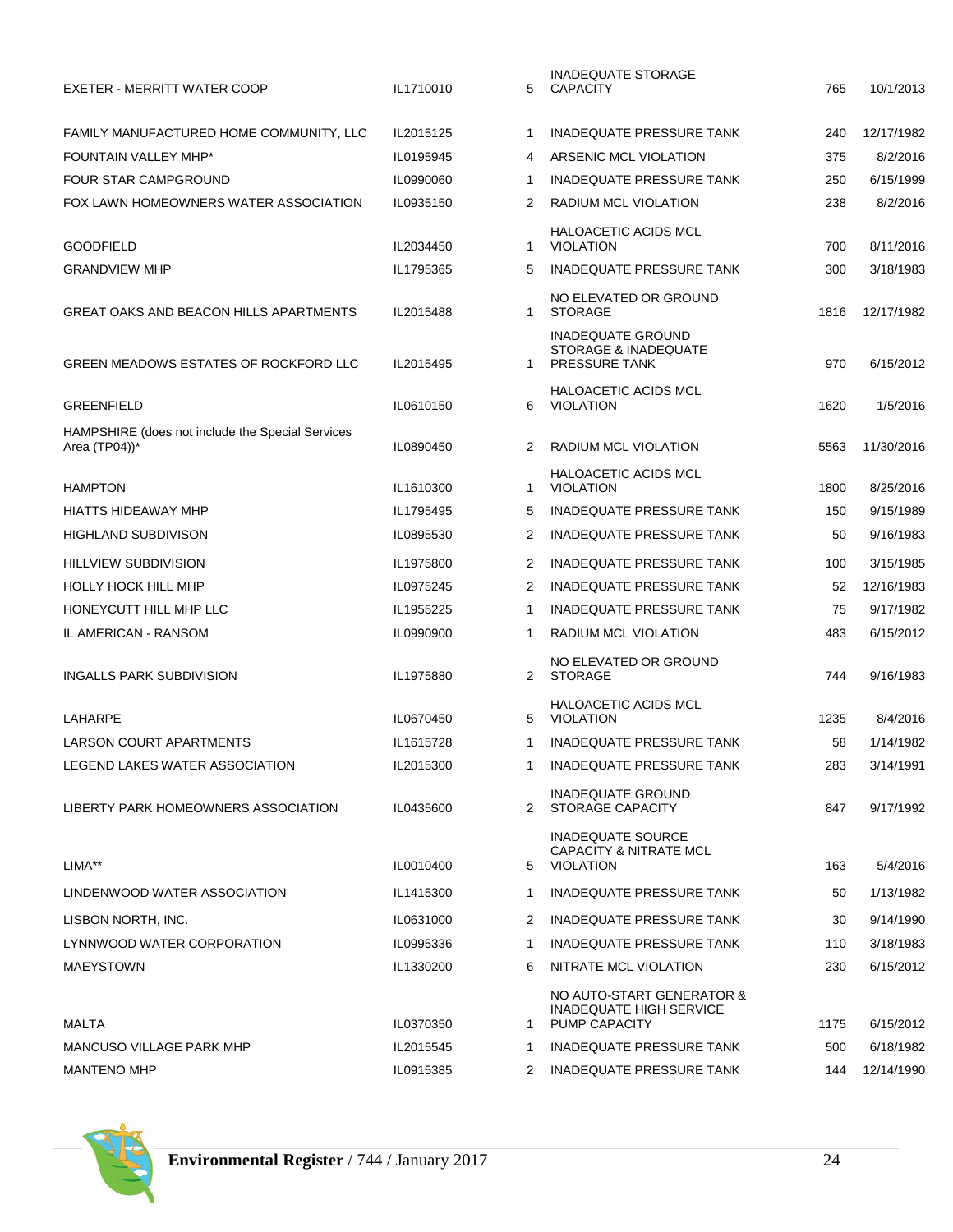| EXETER - MERRITT WATER COOP                                                    | IL1710010 | 5            | IINADEQUATE STURAGE<br><b>CAPACITY</b>                                     | 765  | 10/1/2013  |
|--------------------------------------------------------------------------------|-----------|--------------|----------------------------------------------------------------------------|------|------------|
| FAMILY MANUFACTURED HOME COMMUNITY, LLC                                        | IL2015125 | -1           | <b>INADEQUATE PRESSURE TANK</b>                                            | 240  | 12/17/1982 |
| <b>FOUNTAIN VALLEY MHP*</b>                                                    | IL0195945 | 4            | ARSENIC MCL VIOLATION                                                      | 375  | 8/2/2016   |
| FOUR STAR CAMPGROUND                                                           | IL0990060 | -1           | <b>INADEQUATE PRESSURE TANK</b>                                            | 250  | 6/15/1999  |
| FOX LAWN HOMEOWNERS WATER ASSOCIATION                                          | IL0935150 | 2            | RADIUM MCL VIOLATION                                                       | 238  | 8/2/2016   |
|                                                                                |           |              | <b>HALOACETIC ACIDS MCL</b>                                                |      |            |
| <b>GOODFIELD</b>                                                               | IL2034450 | 1            | <b>VIOLATION</b>                                                           | 700  | 8/11/2016  |
| <b>GRANDVIEW MHP</b>                                                           | IL1795365 | 5            | INADEQUATE PRESSURE TANK                                                   | 300  | 3/18/1983  |
| GREAT OAKS AND BEACON HILLS APARTMENTS                                         | IL2015488 | $\mathbf{1}$ | NO ELEVATED OR GROUND<br><b>STORAGE</b>                                    | 1816 | 12/17/1982 |
| GREEN MEADOWS ESTATES OF ROCKFORD LLC                                          | IL2015495 | -1           | <b>INADEQUATE GROUND</b><br>STORAGE & INADEQUATE<br>PRESSURE TANK          | 970  | 6/15/2012  |
| <b>GREENFIELD</b>                                                              | IL0610150 | 6            | <b>HALOACETIC ACIDS MCL</b><br><b>VIOLATION</b>                            | 1620 | 1/5/2016   |
| HAMPSHIRE (does not include the Special Services<br>Area $(TP04)$ <sup>*</sup> | IL0890450 | 2            | RADIUM MCL VIOLATION                                                       | 5563 | 11/30/2016 |
| <b>HAMPTON</b>                                                                 | IL1610300 | 1            | <b>HALOACETIC ACIDS MCL</b><br><b>VIOLATION</b>                            | 1800 | 8/25/2016  |
| <b>HIATTS HIDEAWAY MHP</b>                                                     | IL1795495 | 5            | <b>INADEQUATE PRESSURE TANK</b>                                            | 150  | 9/15/1989  |
| <b>HIGHLAND SUBDIVISON</b>                                                     | IL0895530 | 2            | <b>INADEQUATE PRESSURE TANK</b>                                            | 50   | 9/16/1983  |
| <b>HILLVIEW SUBDIVISION</b>                                                    | IL1975800 | 2            | <b>INADEQUATE PRESSURE TANK</b>                                            | 100  | 3/15/1985  |
| <b>HOLLY HOCK HILL MHP</b>                                                     | IL0975245 | 2            | <b>INADEQUATE PRESSURE TANK</b>                                            | 52   | 12/16/1983 |
| HONEYCUTT HILL MHP LLC                                                         | IL1955225 | -1           | <b>INADEQUATE PRESSURE TANK</b>                                            | 75   | 9/17/1982  |
| IL AMERICAN - RANSOM                                                           | IL0990900 | 1            | RADIUM MCL VIOLATION                                                       | 483  | 6/15/2012  |
| INGALLS PARK SUBDIVISION                                                       | IL1975880 | 2            | NO ELEVATED OR GROUND<br><b>STORAGE</b>                                    | 744  | 9/16/1983  |
| LAHARPE                                                                        | IL0670450 | 5            | <b>HALOACETIC ACIDS MCL</b><br><b>VIOLATION</b>                            | 1235 | 8/4/2016   |
| LARSON COURT APARTMENTS                                                        | IL1615728 | -1           | <b>INADEQUATE PRESSURE TANK</b>                                            | 58   | 1/14/1982  |
| LEGEND LAKES WATER ASSOCIATION                                                 | IL2015300 | 1            | <b>INADEQUATE PRESSURE TANK</b>                                            | 283  | 3/14/1991  |
| LIBERTY PARK HOMEOWNERS ASSOCIATION                                            | IL0435600 |              | <b>INADEQUATE GROUND</b><br>2 STORAGE CAPACITY                             | 847  | 9/17/1992  |
| LIMA**                                                                         | IL0010400 | 5            | <b>INADEQUATE SOURCE</b><br><b>CAPACITY &amp; NITRATE MCL</b><br>VIOLATION | 163  | 5/4/2016   |
| LINDENWOOD WATER ASSOCIATION                                                   | IL1415300 | 1            | INADEQUATE PRESSURE TANK                                                   | 50   | 1/13/1982  |
| LISBON NORTH, INC.                                                             | IL0631000 | 2            | INADEQUATE PRESSURE TANK                                                   | 30   | 9/14/1990  |
| LYNNWOOD WATER CORPORATION                                                     | IL0995336 | 1            | INADEQUATE PRESSURE TANK                                                   | 110  | 3/18/1983  |
| <b>MAEYSTOWN</b>                                                               | IL1330200 | 6            | NITRATE MCL VIOLATION                                                      | 230  | 6/15/2012  |
|                                                                                |           |              | NO AUTO-START GENERATOR &<br><b>INADEQUATE HIGH SERVICE</b>                |      |            |
| <b>MALTA</b>                                                                   | IL0370350 | 1            | <b>PUMP CAPACITY</b>                                                       | 1175 | 6/15/2012  |
| MANCUSO VILLAGE PARK MHP                                                       | IL2015545 | 1            | INADEQUATE PRESSURE TANK                                                   | 500  | 6/18/1982  |
| <b>MANTENO MHP</b>                                                             | IL0915385 | 2            | <b>INADEQUATE PRESSURE TANK</b>                                            | 144  | 12/14/1990 |

| <b>INADEQUATE PRESSURE TANK</b><br>1<br>240<br>12/17/1982<br>4<br>ARSENIC MCL VIOLATION<br>375<br>8/2/2016<br><b>INADEQUATE PRESSURE TANK</b><br>1<br>250<br>6/15/1999<br>RADIUM MCL VIOLATION<br>2<br>238<br>8/2/2016<br><b>HALOACETIC ACIDS MCL</b><br><b>VIOLATION</b><br>1<br>700<br>8/11/2016<br><b>INADEQUATE PRESSURE TANK</b><br>5<br>300<br>3/18/1983<br>NO ELEVATED OR GROUND<br><b>STORAGE</b><br>1<br>1816<br>12/17/1982<br><b>INADEQUATE GROUND</b><br>STORAGE & INADEQUATE<br><b>PRESSURE TANK</b><br>1<br>970<br>6/15/2012<br><b>HALOACETIC ACIDS MCL</b><br><b>VIOLATION</b><br>6<br>1620<br>1/5/2016<br>RADIUM MCL VIOLATION<br>2<br>11/30/2016<br>5563<br><b>HALOACETIC ACIDS MCL</b><br><b>VIOLATION</b><br>1<br>1800<br>8/25/2016<br>5<br><b>INADEQUATE PRESSURE TANK</b><br>150<br>9/15/1989<br>2<br><b>INADEQUATE PRESSURE TANK</b><br>9/16/1983<br>50<br>2<br><b>INADEQUATE PRESSURE TANK</b><br>100<br>3/15/1985<br>2<br><b>INADEQUATE PRESSURE TANK</b><br>52<br>12/16/1983<br>1<br><b>INADEQUATE PRESSURE TANK</b><br>75<br>9/17/1982<br>RADIUM MCL VIOLATION<br>1<br>483<br>6/15/2012<br>NO ELEVATED OR GROUND<br><b>STORAGE</b><br>2<br>744<br>9/16/1983<br><b>HALOACETIC ACIDS MCL</b><br>5<br><b>VIOLATION</b><br>1235<br>8/4/2016<br><b>INADEQUATE PRESSURE TANK</b><br>1/14/1982<br>1<br>58<br>1<br>INADEQUATE PRESSURE TANK<br>283<br>3/14/1991<br>INADEQUATE GROUND<br>STORAGE CAPACITY<br>2<br>847<br>9/17/1992<br><b>INADEQUATE SOURCE</b><br><b>CAPACITY &amp; NITRATE MCL</b><br><b>VIOLATION</b><br>5<br>163<br>5/4/2016<br>1<br><b>INADEQUATE PRESSURE TANK</b><br>50<br>1/13/1982<br>2<br><b>INADEQUATE PRESSURE TANK</b><br>30<br>9/14/1990<br>1<br><b>INADEQUATE PRESSURE TANK</b><br>110<br>3/18/1983<br>NITRATE MCL VIOLATION<br>6<br>6/15/2012<br>230<br>NO AUTO-START GENERATOR &<br><b>INADEQUATE HIGH SERVICE</b><br><b>PUMP CAPACITY</b><br>1<br>1175<br>6/15/2012<br><b>INADEQUATE PRESSURE TANK</b><br>1<br>6/18/1982<br>500<br><b>INADEQUATE PRESSURE TANK</b><br>2<br>144<br>12/14/1990 | 5 | <b>INADEQUATE STORAGE</b><br><b>CAPACITY</b> | 765 | 10/1/2013 |
|-----------------------------------------------------------------------------------------------------------------------------------------------------------------------------------------------------------------------------------------------------------------------------------------------------------------------------------------------------------------------------------------------------------------------------------------------------------------------------------------------------------------------------------------------------------------------------------------------------------------------------------------------------------------------------------------------------------------------------------------------------------------------------------------------------------------------------------------------------------------------------------------------------------------------------------------------------------------------------------------------------------------------------------------------------------------------------------------------------------------------------------------------------------------------------------------------------------------------------------------------------------------------------------------------------------------------------------------------------------------------------------------------------------------------------------------------------------------------------------------------------------------------------------------------------------------------------------------------------------------------------------------------------------------------------------------------------------------------------------------------------------------------------------------------------------------------------------------------------------------------------------------------------------------------------------------------------------------------------------------------------------------------------------------------|---|----------------------------------------------|-----|-----------|
|                                                                                                                                                                                                                                                                                                                                                                                                                                                                                                                                                                                                                                                                                                                                                                                                                                                                                                                                                                                                                                                                                                                                                                                                                                                                                                                                                                                                                                                                                                                                                                                                                                                                                                                                                                                                                                                                                                                                                                                                                                               |   |                                              |     |           |
|                                                                                                                                                                                                                                                                                                                                                                                                                                                                                                                                                                                                                                                                                                                                                                                                                                                                                                                                                                                                                                                                                                                                                                                                                                                                                                                                                                                                                                                                                                                                                                                                                                                                                                                                                                                                                                                                                                                                                                                                                                               |   |                                              |     |           |
|                                                                                                                                                                                                                                                                                                                                                                                                                                                                                                                                                                                                                                                                                                                                                                                                                                                                                                                                                                                                                                                                                                                                                                                                                                                                                                                                                                                                                                                                                                                                                                                                                                                                                                                                                                                                                                                                                                                                                                                                                                               |   |                                              |     |           |
|                                                                                                                                                                                                                                                                                                                                                                                                                                                                                                                                                                                                                                                                                                                                                                                                                                                                                                                                                                                                                                                                                                                                                                                                                                                                                                                                                                                                                                                                                                                                                                                                                                                                                                                                                                                                                                                                                                                                                                                                                                               |   |                                              |     |           |
|                                                                                                                                                                                                                                                                                                                                                                                                                                                                                                                                                                                                                                                                                                                                                                                                                                                                                                                                                                                                                                                                                                                                                                                                                                                                                                                                                                                                                                                                                                                                                                                                                                                                                                                                                                                                                                                                                                                                                                                                                                               |   |                                              |     |           |
|                                                                                                                                                                                                                                                                                                                                                                                                                                                                                                                                                                                                                                                                                                                                                                                                                                                                                                                                                                                                                                                                                                                                                                                                                                                                                                                                                                                                                                                                                                                                                                                                                                                                                                                                                                                                                                                                                                                                                                                                                                               |   |                                              |     |           |
|                                                                                                                                                                                                                                                                                                                                                                                                                                                                                                                                                                                                                                                                                                                                                                                                                                                                                                                                                                                                                                                                                                                                                                                                                                                                                                                                                                                                                                                                                                                                                                                                                                                                                                                                                                                                                                                                                                                                                                                                                                               |   |                                              |     |           |
|                                                                                                                                                                                                                                                                                                                                                                                                                                                                                                                                                                                                                                                                                                                                                                                                                                                                                                                                                                                                                                                                                                                                                                                                                                                                                                                                                                                                                                                                                                                                                                                                                                                                                                                                                                                                                                                                                                                                                                                                                                               |   |                                              |     |           |
|                                                                                                                                                                                                                                                                                                                                                                                                                                                                                                                                                                                                                                                                                                                                                                                                                                                                                                                                                                                                                                                                                                                                                                                                                                                                                                                                                                                                                                                                                                                                                                                                                                                                                                                                                                                                                                                                                                                                                                                                                                               |   |                                              |     |           |
|                                                                                                                                                                                                                                                                                                                                                                                                                                                                                                                                                                                                                                                                                                                                                                                                                                                                                                                                                                                                                                                                                                                                                                                                                                                                                                                                                                                                                                                                                                                                                                                                                                                                                                                                                                                                                                                                                                                                                                                                                                               |   |                                              |     |           |
|                                                                                                                                                                                                                                                                                                                                                                                                                                                                                                                                                                                                                                                                                                                                                                                                                                                                                                                                                                                                                                                                                                                                                                                                                                                                                                                                                                                                                                                                                                                                                                                                                                                                                                                                                                                                                                                                                                                                                                                                                                               |   |                                              |     |           |
|                                                                                                                                                                                                                                                                                                                                                                                                                                                                                                                                                                                                                                                                                                                                                                                                                                                                                                                                                                                                                                                                                                                                                                                                                                                                                                                                                                                                                                                                                                                                                                                                                                                                                                                                                                                                                                                                                                                                                                                                                                               |   |                                              |     |           |
|                                                                                                                                                                                                                                                                                                                                                                                                                                                                                                                                                                                                                                                                                                                                                                                                                                                                                                                                                                                                                                                                                                                                                                                                                                                                                                                                                                                                                                                                                                                                                                                                                                                                                                                                                                                                                                                                                                                                                                                                                                               |   |                                              |     |           |
|                                                                                                                                                                                                                                                                                                                                                                                                                                                                                                                                                                                                                                                                                                                                                                                                                                                                                                                                                                                                                                                                                                                                                                                                                                                                                                                                                                                                                                                                                                                                                                                                                                                                                                                                                                                                                                                                                                                                                                                                                                               |   |                                              |     |           |
|                                                                                                                                                                                                                                                                                                                                                                                                                                                                                                                                                                                                                                                                                                                                                                                                                                                                                                                                                                                                                                                                                                                                                                                                                                                                                                                                                                                                                                                                                                                                                                                                                                                                                                                                                                                                                                                                                                                                                                                                                                               |   |                                              |     |           |
|                                                                                                                                                                                                                                                                                                                                                                                                                                                                                                                                                                                                                                                                                                                                                                                                                                                                                                                                                                                                                                                                                                                                                                                                                                                                                                                                                                                                                                                                                                                                                                                                                                                                                                                                                                                                                                                                                                                                                                                                                                               |   |                                              |     |           |
|                                                                                                                                                                                                                                                                                                                                                                                                                                                                                                                                                                                                                                                                                                                                                                                                                                                                                                                                                                                                                                                                                                                                                                                                                                                                                                                                                                                                                                                                                                                                                                                                                                                                                                                                                                                                                                                                                                                                                                                                                                               |   |                                              |     |           |
|                                                                                                                                                                                                                                                                                                                                                                                                                                                                                                                                                                                                                                                                                                                                                                                                                                                                                                                                                                                                                                                                                                                                                                                                                                                                                                                                                                                                                                                                                                                                                                                                                                                                                                                                                                                                                                                                                                                                                                                                                                               |   |                                              |     |           |
|                                                                                                                                                                                                                                                                                                                                                                                                                                                                                                                                                                                                                                                                                                                                                                                                                                                                                                                                                                                                                                                                                                                                                                                                                                                                                                                                                                                                                                                                                                                                                                                                                                                                                                                                                                                                                                                                                                                                                                                                                                               |   |                                              |     |           |
|                                                                                                                                                                                                                                                                                                                                                                                                                                                                                                                                                                                                                                                                                                                                                                                                                                                                                                                                                                                                                                                                                                                                                                                                                                                                                                                                                                                                                                                                                                                                                                                                                                                                                                                                                                                                                                                                                                                                                                                                                                               |   |                                              |     |           |
|                                                                                                                                                                                                                                                                                                                                                                                                                                                                                                                                                                                                                                                                                                                                                                                                                                                                                                                                                                                                                                                                                                                                                                                                                                                                                                                                                                                                                                                                                                                                                                                                                                                                                                                                                                                                                                                                                                                                                                                                                                               |   |                                              |     |           |
|                                                                                                                                                                                                                                                                                                                                                                                                                                                                                                                                                                                                                                                                                                                                                                                                                                                                                                                                                                                                                                                                                                                                                                                                                                                                                                                                                                                                                                                                                                                                                                                                                                                                                                                                                                                                                                                                                                                                                                                                                                               |   |                                              |     |           |
|                                                                                                                                                                                                                                                                                                                                                                                                                                                                                                                                                                                                                                                                                                                                                                                                                                                                                                                                                                                                                                                                                                                                                                                                                                                                                                                                                                                                                                                                                                                                                                                                                                                                                                                                                                                                                                                                                                                                                                                                                                               |   |                                              |     |           |
|                                                                                                                                                                                                                                                                                                                                                                                                                                                                                                                                                                                                                                                                                                                                                                                                                                                                                                                                                                                                                                                                                                                                                                                                                                                                                                                                                                                                                                                                                                                                                                                                                                                                                                                                                                                                                                                                                                                                                                                                                                               |   |                                              |     |           |
|                                                                                                                                                                                                                                                                                                                                                                                                                                                                                                                                                                                                                                                                                                                                                                                                                                                                                                                                                                                                                                                                                                                                                                                                                                                                                                                                                                                                                                                                                                                                                                                                                                                                                                                                                                                                                                                                                                                                                                                                                                               |   |                                              |     |           |
|                                                                                                                                                                                                                                                                                                                                                                                                                                                                                                                                                                                                                                                                                                                                                                                                                                                                                                                                                                                                                                                                                                                                                                                                                                                                                                                                                                                                                                                                                                                                                                                                                                                                                                                                                                                                                                                                                                                                                                                                                                               |   |                                              |     |           |
|                                                                                                                                                                                                                                                                                                                                                                                                                                                                                                                                                                                                                                                                                                                                                                                                                                                                                                                                                                                                                                                                                                                                                                                                                                                                                                                                                                                                                                                                                                                                                                                                                                                                                                                                                                                                                                                                                                                                                                                                                                               |   |                                              |     |           |
|                                                                                                                                                                                                                                                                                                                                                                                                                                                                                                                                                                                                                                                                                                                                                                                                                                                                                                                                                                                                                                                                                                                                                                                                                                                                                                                                                                                                                                                                                                                                                                                                                                                                                                                                                                                                                                                                                                                                                                                                                                               |   |                                              |     |           |
|                                                                                                                                                                                                                                                                                                                                                                                                                                                                                                                                                                                                                                                                                                                                                                                                                                                                                                                                                                                                                                                                                                                                                                                                                                                                                                                                                                                                                                                                                                                                                                                                                                                                                                                                                                                                                                                                                                                                                                                                                                               |   |                                              |     |           |
|                                                                                                                                                                                                                                                                                                                                                                                                                                                                                                                                                                                                                                                                                                                                                                                                                                                                                                                                                                                                                                                                                                                                                                                                                                                                                                                                                                                                                                                                                                                                                                                                                                                                                                                                                                                                                                                                                                                                                                                                                                               |   |                                              |     |           |
|                                                                                                                                                                                                                                                                                                                                                                                                                                                                                                                                                                                                                                                                                                                                                                                                                                                                                                                                                                                                                                                                                                                                                                                                                                                                                                                                                                                                                                                                                                                                                                                                                                                                                                                                                                                                                                                                                                                                                                                                                                               |   |                                              |     |           |

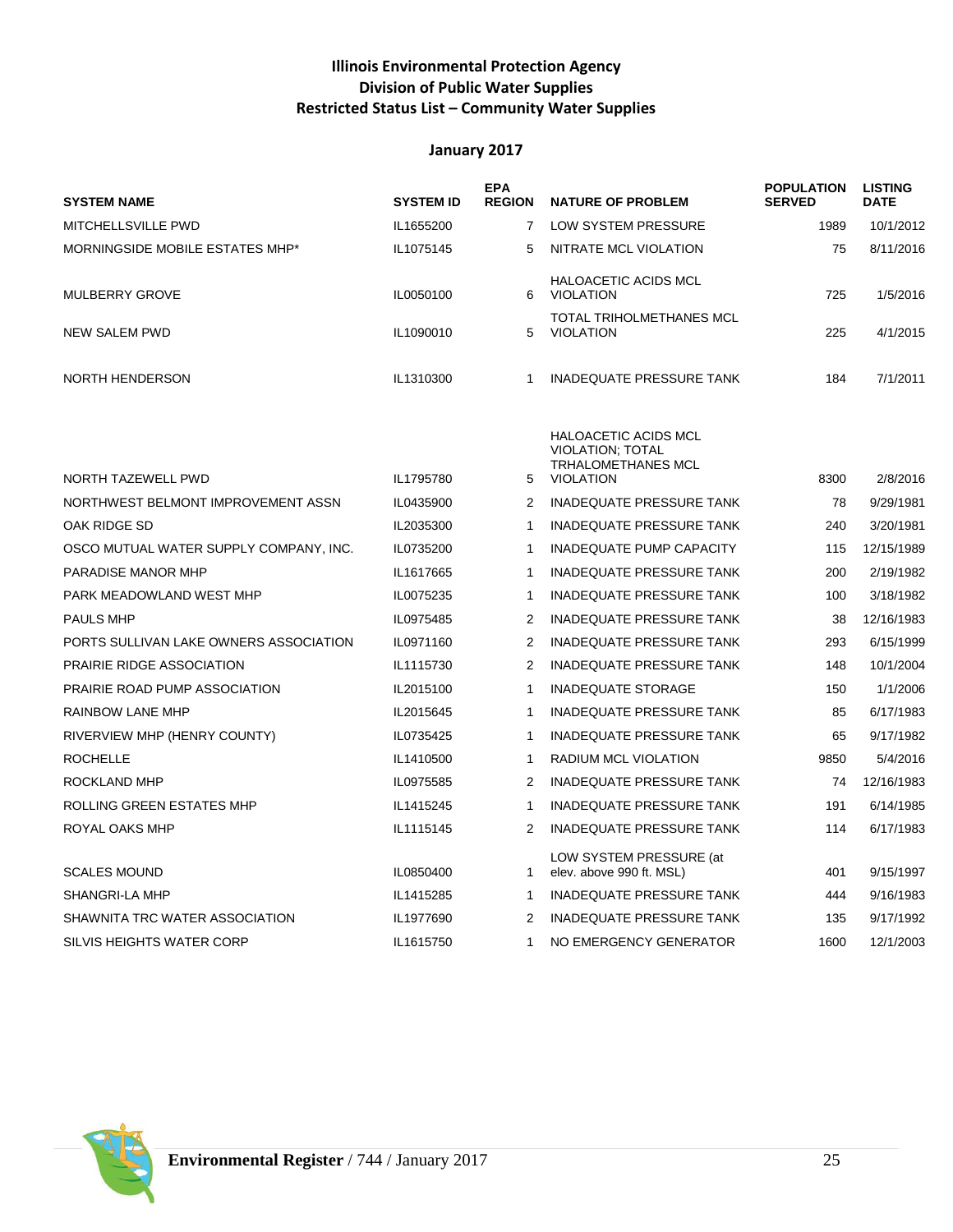## **Illinois Environmental Protection Agency Division of Public Water Supplies Restricted Status List – Community Water Supplies**

| <b>SYSTEM NAME</b>                     | <b>SYSTEM ID</b> | <b>EPA</b><br><b>REGION</b> | <b>NATURE OF PROBLEM</b>                                                                                | <b>POPULATION</b><br><b>SERVED</b> | <b>LISTING</b><br><b>DATE</b> |
|----------------------------------------|------------------|-----------------------------|---------------------------------------------------------------------------------------------------------|------------------------------------|-------------------------------|
| MITCHELLSVILLE PWD                     | IL1655200        | 7                           | LOW SYSTEM PRESSURE                                                                                     | 1989                               | 10/1/2012                     |
| MORNINGSIDE MOBILE ESTATES MHP*        | IL1075145        | 5                           | NITRATE MCL VIOLATION                                                                                   | 75                                 | 8/11/2016                     |
| <b>MULBERRY GROVE</b>                  | IL0050100        | 6                           | <b>HALOACETIC ACIDS MCL</b><br><b>VIOLATION</b>                                                         | 725                                | 1/5/2016                      |
| NEW SALEM PWD                          | IL1090010        | 5                           | <b>TOTAL TRIHOLMETHANES MCL</b><br><b>VIOLATION</b>                                                     | 225                                | 4/1/2015                      |
| <b>NORTH HENDERSON</b>                 | IL1310300        | $\mathbf{1}$                | <b>INADEQUATE PRESSURE TANK</b>                                                                         | 184                                | 7/1/2011                      |
| NORTH TAZEWELL PWD                     | IL1795780        | 5                           | <b>HALOACETIC ACIDS MCL</b><br><b>VIOLATION: TOTAL</b><br><b>TRHALOMETHANES MCL</b><br><b>VIOLATION</b> | 8300                               | 2/8/2016                      |
| NORTHWEST BELMONT IMPROVEMENT ASSN     | IL0435900        | 2                           | <b>INADEQUATE PRESSURE TANK</b>                                                                         | 78                                 | 9/29/1981                     |
| OAK RIDGE SD                           | IL2035300        | $\mathbf{1}$                | <b>INADEQUATE PRESSURE TANK</b>                                                                         | 240                                | 3/20/1981                     |
| OSCO MUTUAL WATER SUPPLY COMPANY, INC. | IL0735200        | $\mathbf{1}$                | <b>INADEQUATE PUMP CAPACITY</b>                                                                         | 115                                | 12/15/1989                    |
| PARADISE MANOR MHP                     | IL1617665        | $\mathbf{1}$                | <b>INADEQUATE PRESSURE TANK</b>                                                                         | 200                                | 2/19/1982                     |
| PARK MEADOWLAND WEST MHP               | IL0075235        | $\mathbf{1}$                | <b>INADEQUATE PRESSURE TANK</b>                                                                         | 100                                | 3/18/1982                     |
| <b>PAULS MHP</b>                       | IL0975485        | 2                           | <b>INADEQUATE PRESSURE TANK</b>                                                                         | 38                                 | 12/16/1983                    |
| PORTS SULLIVAN LAKE OWNERS ASSOCIATION | IL0971160        | $\overline{2}$              | <b>INADEQUATE PRESSURE TANK</b>                                                                         | 293                                | 6/15/1999                     |
| <b>PRAIRIE RIDGE ASSOCIATION</b>       | IL1115730        | $\overline{2}$              | <b>INADEQUATE PRESSURE TANK</b>                                                                         | 148                                | 10/1/2004                     |
| PRAIRIE ROAD PUMP ASSOCIATION          | IL2015100        | $\mathbf{1}$                | <b>INADEQUATE STORAGE</b>                                                                               | 150                                | 1/1/2006                      |
| <b>RAINBOW LANE MHP</b>                | IL2015645        | $\mathbf{1}$                | <b>INADEQUATE PRESSURE TANK</b>                                                                         | 85                                 | 6/17/1983                     |
| RIVERVIEW MHP (HENRY COUNTY)           | IL0735425        | $\mathbf{1}$                | <b>INADEQUATE PRESSURE TANK</b>                                                                         | 65                                 | 9/17/1982                     |
| <b>ROCHELLE</b>                        | IL1410500        | $\mathbf{1}$                | RADIUM MCL VIOLATION                                                                                    | 9850                               | 5/4/2016                      |
| ROCKLAND MHP                           | IL0975585        | 2                           | <b>INADEQUATE PRESSURE TANK</b>                                                                         | 74                                 | 12/16/1983                    |
| ROLLING GREEN ESTATES MHP              | IL1415245        | $\mathbf{1}$                | <b>INADEQUATE PRESSURE TANK</b>                                                                         | 191                                | 6/14/1985                     |
| ROYAL OAKS MHP                         | IL1115145        | 2                           | <b>INADEQUATE PRESSURE TANK</b>                                                                         | 114                                | 6/17/1983                     |
| <b>SCALES MOUND</b>                    | IL0850400        | $\mathbf{1}$                | LOW SYSTEM PRESSURE (at<br>elev. above 990 ft. MSL)                                                     | 401                                | 9/15/1997                     |
| SHANGRI-LA MHP                         | IL1415285        | $\mathbf{1}$                | <b>INADEQUATE PRESSURE TANK</b>                                                                         | 444                                | 9/16/1983                     |
| SHAWNITA TRC WATER ASSOCIATION         | IL1977690        | $\overline{2}$              | <b>INADEQUATE PRESSURE TANK</b>                                                                         | 135                                | 9/17/1992                     |
| <b>SILVIS HEIGHTS WATER CORP</b>       | IL1615750        | 1                           | NO EMERGENCY GENERATOR                                                                                  | 1600                               | 12/1/2003                     |

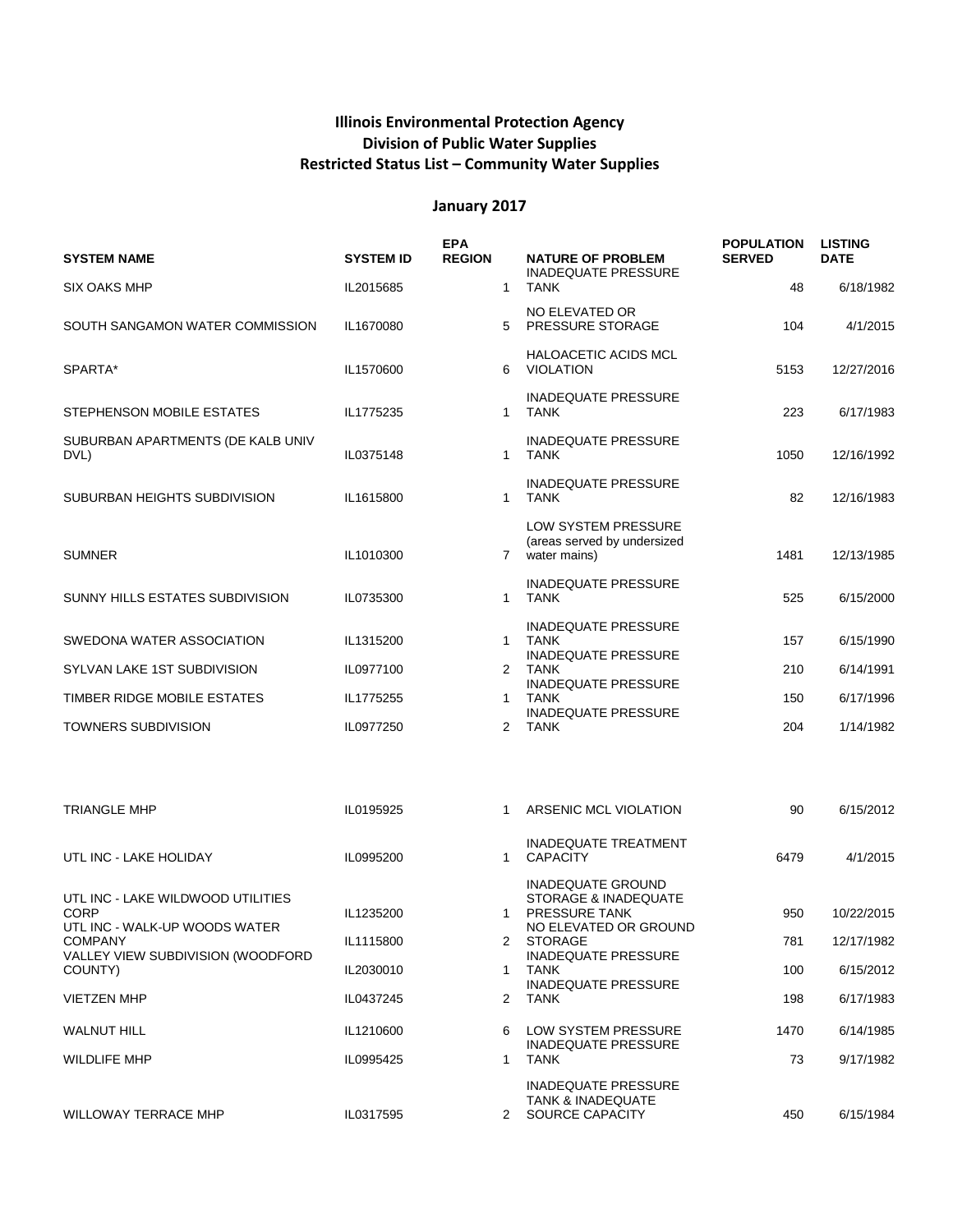## **Illinois Environmental Protection Agency Division of Public Water Supplies Restricted Status List – Community Water Supplies**

| <b>SYSTEM NAME</b>                                  | <b>SYSTEM ID</b> | <b>EPA</b><br><b>REGION</b> |              | <b>NATURE OF PROBLEM</b>                                                      | <b>POPULATION</b><br><b>SERVED</b> | <b>LISTING</b><br><b>DATE</b> |
|-----------------------------------------------------|------------------|-----------------------------|--------------|-------------------------------------------------------------------------------|------------------------------------|-------------------------------|
| <b>SIX OAKS MHP</b>                                 | IL2015685        | $\mathbf{1}$                |              | <b>INADEQUATE PRESSURE</b><br><b>TANK</b>                                     | 48                                 | 6/18/1982                     |
| SOUTH SANGAMON WATER COMMISSION                     | IL1670080        | 5                           |              | NO ELEVATED OR<br>PRESSURE STORAGE                                            | 104                                | 4/1/2015                      |
| SPARTA*                                             | IL1570600        | 6                           |              | <b>HALOACETIC ACIDS MCL</b><br><b>VIOLATION</b>                               | 5153                               | 12/27/2016                    |
| STEPHENSON MOBILE ESTATES                           | IL1775235        | $\mathbf{1}$                |              | <b>INADEQUATE PRESSURE</b><br><b>TANK</b>                                     | 223                                | 6/17/1983                     |
| SUBURBAN APARTMENTS (DE KALB UNIV<br>DVL)           | IL0375148        | $\mathbf 1$                 |              | <b>INADEQUATE PRESSURE</b><br><b>TANK</b>                                     | 1050                               | 12/16/1992                    |
| SUBURBAN HEIGHTS SUBDIVISION                        | IL1615800        | $\mathbf{1}$                |              | <b>INADEQUATE PRESSURE</b><br><b>TANK</b>                                     | 82                                 | 12/16/1983                    |
| <b>SUMNER</b>                                       | IL1010300        |                             | $7^{\circ}$  | LOW SYSTEM PRESSURE<br>(areas served by undersized<br>water mains)            | 1481                               | 12/13/1985                    |
| SUNNY HILLS ESTATES SUBDIVISION                     | IL0735300        | $\mathbf{1}$                |              | <b>INADEQUATE PRESSURE</b><br><b>TANK</b>                                     | 525                                | 6/15/2000                     |
| SWEDONA WATER ASSOCIATION                           | IL1315200        | $\mathbf{1}$                |              | <b>INADEQUATE PRESSURE</b><br><b>TANK</b><br><b>INADEQUATE PRESSURE</b>       | 157                                | 6/15/1990                     |
| SYLVAN LAKE 1ST SUBDIVISION                         | IL0977100        | 2                           |              | <b>TANK</b><br><b>INADEQUATE PRESSURE</b>                                     | 210                                | 6/14/1991                     |
| TIMBER RIDGE MOBILE ESTATES                         | IL1775255        | -1                          |              | <b>TANK</b><br><b>INADEQUATE PRESSURE</b>                                     | 150                                | 6/17/1996                     |
| <b>TOWNERS SUBDIVISION</b>                          | IL0977250        | 2                           |              | <b>TANK</b>                                                                   | 204                                | 1/14/1982                     |
|                                                     |                  |                             |              |                                                                               |                                    |                               |
| TRIANGLE MHP                                        | IL0195925        | 1                           |              | ARSENIC MCL VIOLATION                                                         | 90                                 | 6/15/2012                     |
| UTL INC - LAKE HOLIDAY                              | IL0995200        | 1                           |              | <b>INADEQUATE TREATMENT</b><br><b>CAPACITY</b>                                | 6479                               | 4/1/2015                      |
| UTL INC - LAKE WILDWOOD UTILITIES                   |                  |                             |              | <b>INADEQUATE GROUND</b><br>STORAGE & INADEQUATE                              |                                    |                               |
| <b>CORP</b><br>UTL INC - WALK-UP WOODS WATER        | IL1235200        |                             |              | PRESSURE TANK<br>NO ELEVATED OR GROUND                                        | 950                                | 10/22/2015                    |
| <b>COMPANY</b><br>VALLEY VIEW SUBDIVISION (WOODFORD | IL1115800        |                             | $\mathbf{2}$ | STORAGE<br><b>INADEQUATE PRESSURE</b>                                         | 781                                | 12/17/1982                    |
| COUNTY)                                             | IL2030010        | 1                           |              | <b>TANK</b>                                                                   | 100                                | 6/15/2012                     |
| <b>VIETZEN MHP</b>                                  | IL0437245        | 2                           |              | <b>INADEQUATE PRESSURE</b><br><b>TANK</b>                                     | 198                                | 6/17/1983                     |
| <b>WALNUT HILL</b>                                  | IL1210600        | 6                           |              | LOW SYSTEM PRESSURE<br><b>INADEQUATE PRESSURE</b>                             | 1470                               | 6/14/1985                     |
| <b>WILDLIFE MHP</b>                                 | IL0995425        | $\mathbf 1$                 |              | <b>TANK</b>                                                                   | 73                                 | 9/17/1982                     |
| <b>WILLOWAY TERRACE MHP</b>                         | IL0317595        |                             | $\mathbf{2}$ | <b>INADEQUATE PRESSURE</b><br><b>TANK &amp; INADEQUATE</b><br>SOURCE CAPACITY | 450                                | 6/15/1984                     |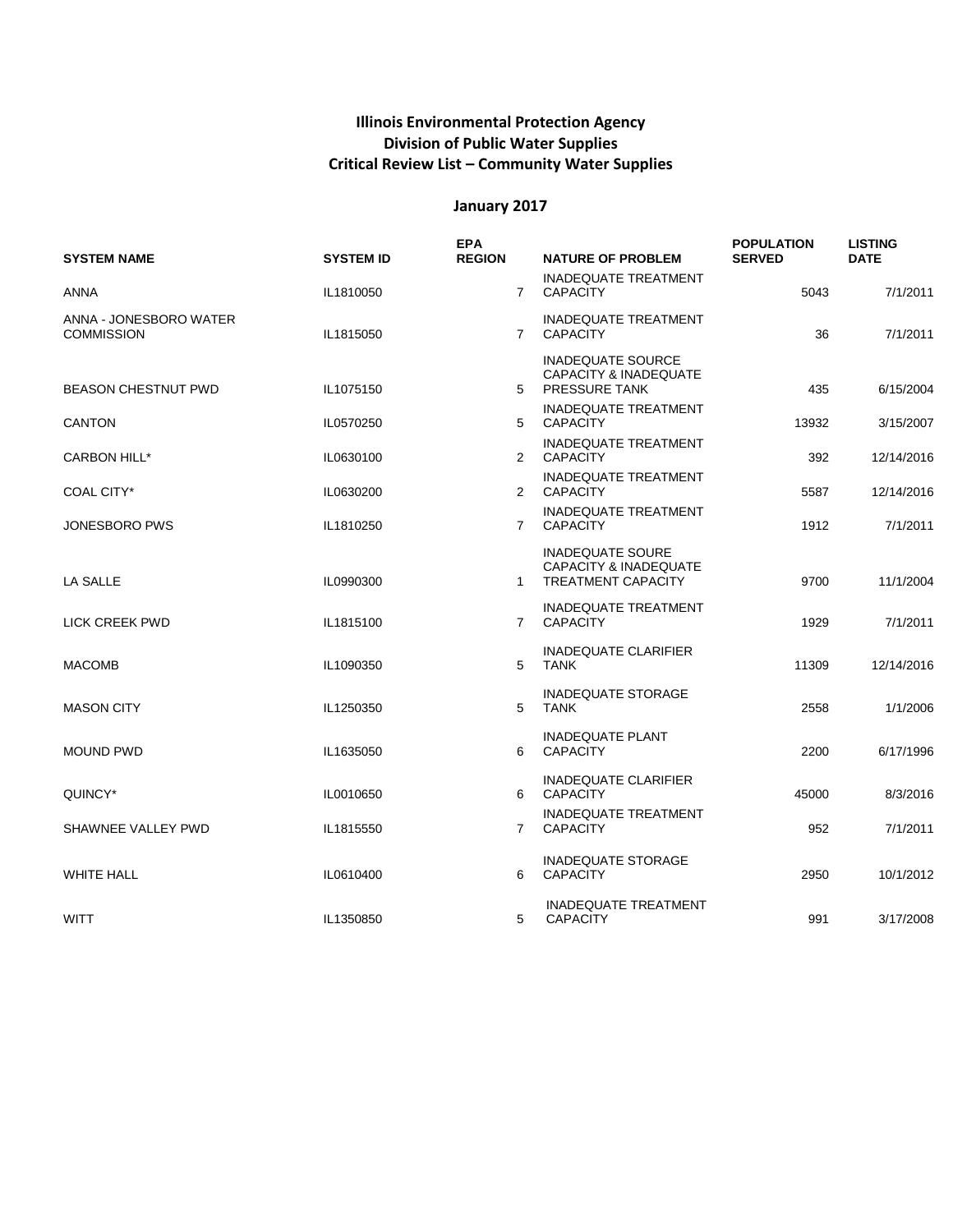## **Illinois Environmental Protection Agency Division of Public Water Supplies Critical Review List – Community Water Supplies**

| <b>SYSTEM NAME</b>                          | <b>SYSTEM ID</b> | <b>EPA</b><br><b>REGION</b> | <b>NATURE OF PROBLEM</b>                                                                 | <b>POPULATION</b><br><b>SERVED</b> | <b>LISTING</b><br><b>DATE</b> |
|---------------------------------------------|------------------|-----------------------------|------------------------------------------------------------------------------------------|------------------------------------|-------------------------------|
| ANNA                                        | IL1810050        | $7^{\circ}$                 | <b>INADEQUATE TREATMENT</b><br><b>CAPACITY</b>                                           | 5043                               | 7/1/2011                      |
| ANNA - JONESBORO WATER<br><b>COMMISSION</b> | IL1815050        | $7^{\circ}$                 | <b>INADEQUATE TREATMENT</b><br><b>CAPACITY</b>                                           | 36                                 | 7/1/2011                      |
| <b>BEASON CHESTNUT PWD</b>                  | IL1075150        |                             | <b>INADEQUATE SOURCE</b><br><b>CAPACITY &amp; INADEQUATE</b><br>5 PRESSURE TANK          | 435                                | 6/15/2004                     |
| <b>CANTON</b>                               | IL0570250        | 5                           | <b>INADEQUATE TREATMENT</b><br><b>CAPACITY</b>                                           | 13932                              | 3/15/2007                     |
| <b>CARBON HILL*</b>                         | IL0630100        |                             | <b>INADEQUATE TREATMENT</b><br>2 CAPACITY                                                | 392                                | 12/14/2016                    |
| COAL CITY*                                  | IL0630200        |                             | <b>INADEQUATE TREATMENT</b><br>2 CAPACITY                                                | 5587                               | 12/14/2016                    |
| JONESBORO PWS                               | IL1810250        | 7                           | <b>INADEQUATE TREATMENT</b><br><b>CAPACITY</b>                                           | 1912                               | 7/1/2011                      |
| LA SALLE                                    | IL0990300        | 1                           | <b>INADEQUATE SOURE</b><br><b>CAPACITY &amp; INADEQUATE</b><br><b>TREATMENT CAPACITY</b> | 9700                               | 11/1/2004                     |
| LICK CREEK PWD                              | IL1815100        | $7^{\circ}$                 | <b>INADEQUATE TREATMENT</b><br><b>CAPACITY</b>                                           | 1929                               | 7/1/2011                      |
| <b>MACOMB</b>                               | IL1090350        | 5                           | <b>INADEQUATE CLARIFIER</b><br><b>TANK</b>                                               | 11309                              | 12/14/2016                    |
| <b>MASON CITY</b>                           | IL1250350        | 5                           | <b>INADEQUATE STORAGE</b><br><b>TANK</b>                                                 | 2558                               | 1/1/2006                      |
| <b>MOUND PWD</b>                            | IL1635050        | 6                           | <b>INADEQUATE PLANT</b><br><b>CAPACITY</b>                                               | 2200                               | 6/17/1996                     |
| QUINCY*                                     | IL0010650        | 6                           | <b>INADEQUATE CLARIFIER</b><br><b>CAPACITY</b>                                           | 45000                              | 8/3/2016                      |
| SHAWNEE VALLEY PWD                          | IL1815550        | $\overline{7}$              | <b>INADEQUATE TREATMENT</b><br><b>CAPACITY</b>                                           | 952                                | 7/1/2011                      |
| <b>WHITE HALL</b>                           | IL0610400        | 6                           | <b>INADEQUATE STORAGE</b><br><b>CAPACITY</b>                                             | 2950                               | 10/1/2012                     |
| <b>WITT</b>                                 | IL1350850        | 5                           | <b>INADEQUATE TREATMENT</b><br><b>CAPACITY</b>                                           | 991                                | 3/17/2008                     |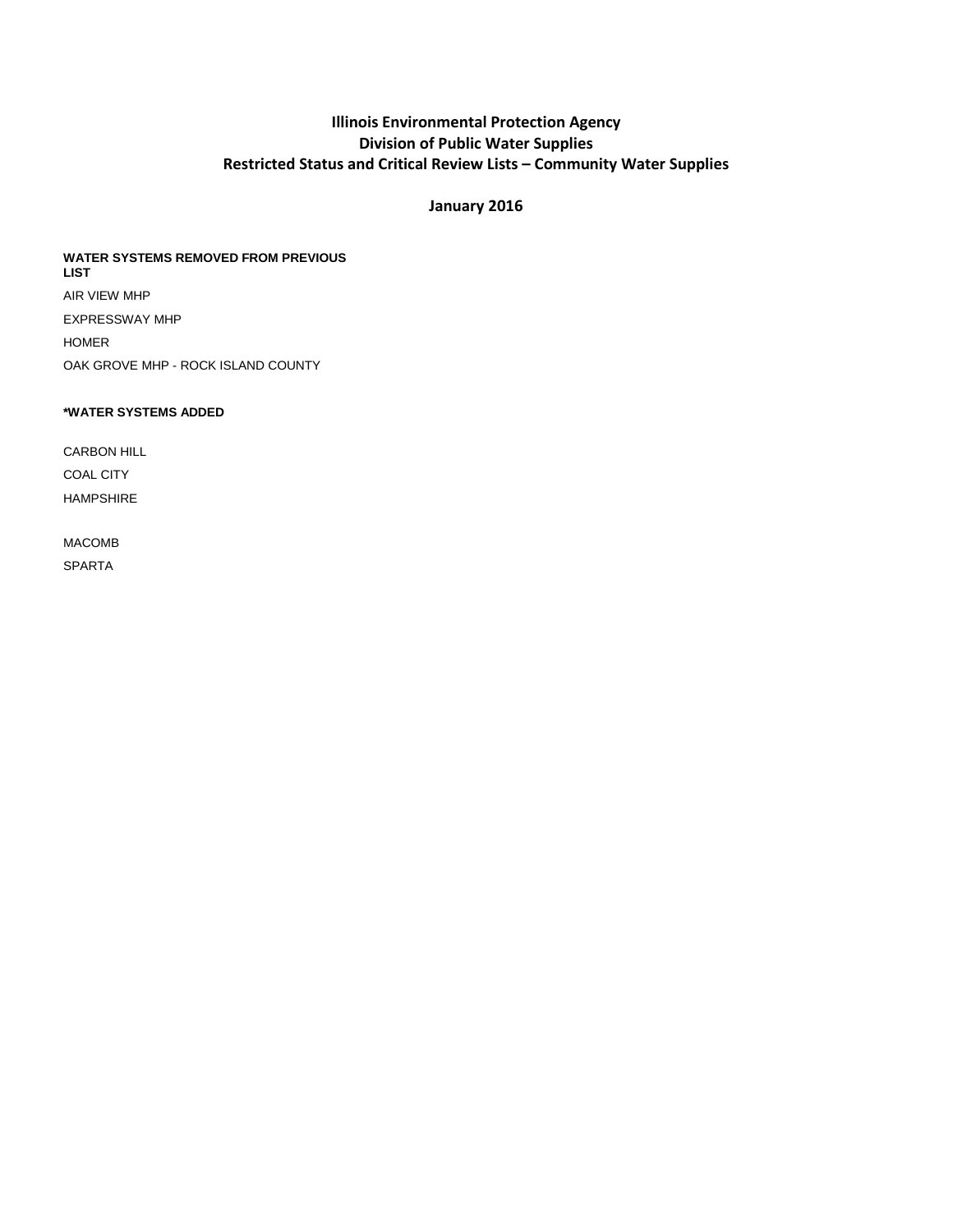#### **Illinois Environmental Protection Agency Division of Public Water Supplies Restricted Status and Critical Review Lists – Community Water Supplies**

#### **January 2016**

#### **WATER SYSTEMS REMOVED FROM PREVIOUS LIST** AIR VIEW MHP EXPRESSWAY MHP HOMER

OAK GROVE MHP - ROCK ISLAND COUNTY

#### **\*WATER SYSTEMS ADDED**

CARBON HILL COAL CITY HAMPSHIRE

#### MACOMB SPARTA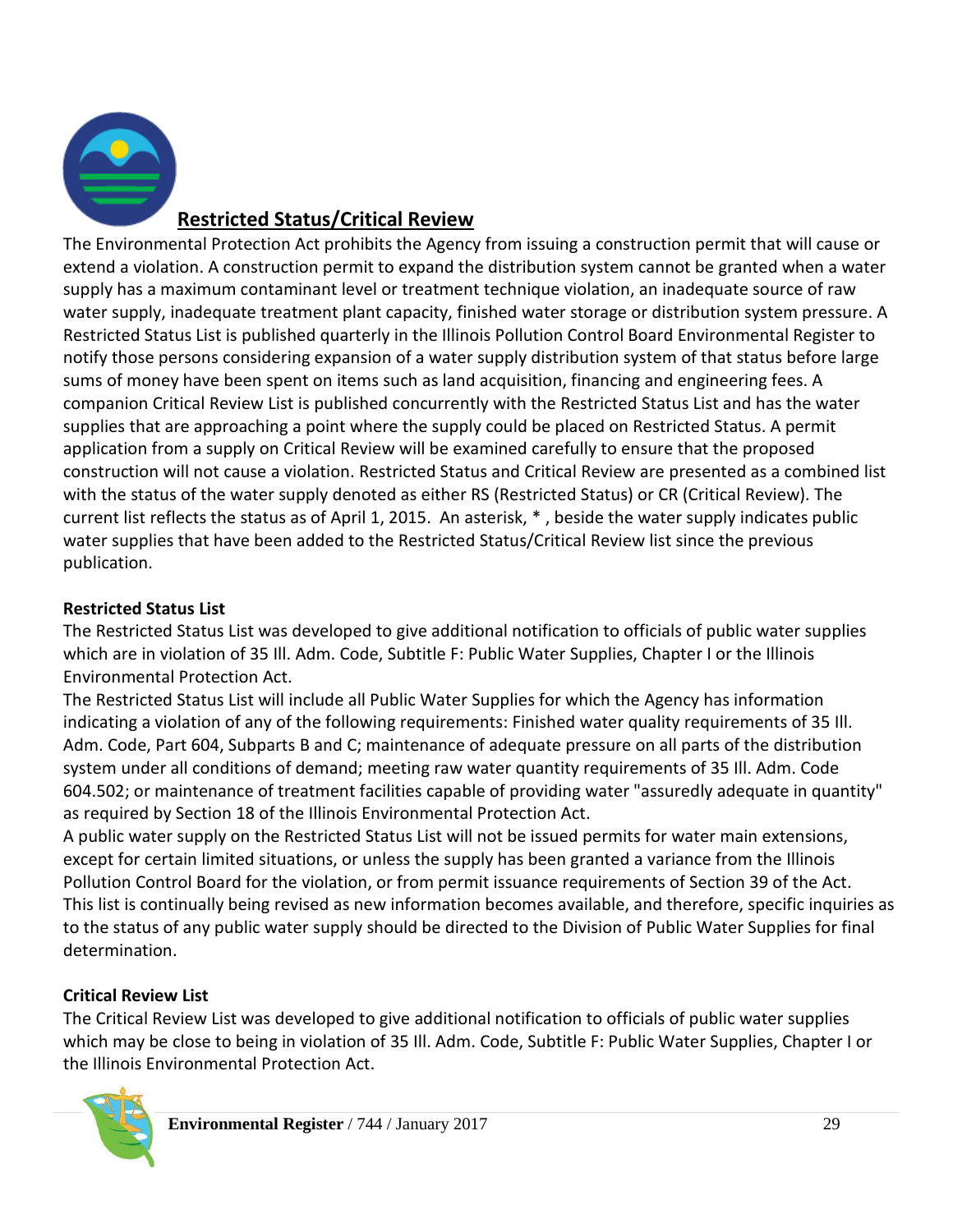

# **Restricted Status/Critical Review**

The Environmental Protection Act prohibits the Agency from issuing a construction permit that will cause or extend a violation. A construction permit to expand the distribution system cannot be granted when a water supply has a maximum contaminant level or treatment technique violation, an inadequate source of raw water supply, inadequate treatment plant capacity, finished water storage or distribution system pressure. A Restricted Status List is published quarterly in the Illinois Pollution Control Board Environmental Register to notify those persons considering expansion of a water supply distribution system of that status before large sums of money have been spent on items such as land acquisition, financing and engineering fees. A companion Critical Review List is published concurrently with the Restricted Status List and has the water supplies that are approaching a point where the supply could be placed on Restricted Status. A permit application from a supply on Critical Review will be examined carefully to ensure that the proposed construction will not cause a violation. Restricted Status and Critical Review are presented as a combined list with the status of the water supply denoted as either RS (Restricted Status) or CR (Critical Review). The current list reflects the status as of April 1, 2015. An asterisk, \* , beside the water supply indicates public water supplies that have been added to the Restricted Status/Critical Review list since the previous publication.

# **Restricted Status List**

The Restricted Status List was developed to give additional notification to officials of public water supplies which are in violation of 35 Ill. Adm. Code, Subtitle F: Public Water Supplies, Chapter I or the Illinois Environmental Protection Act.

The Restricted Status List will include all Public Water Supplies for which the Agency has information indicating a violation of any of the following requirements: Finished water quality requirements of 35 Ill. Adm. Code, Part 604, Subparts B and C; maintenance of adequate pressure on all parts of the distribution system under all conditions of demand; meeting raw water quantity requirements of 35 Ill. Adm. Code 604.502; or maintenance of treatment facilities capable of providing water "assuredly adequate in quantity" as required by Section 18 of the Illinois Environmental Protection Act.

A public water supply on the Restricted Status List will not be issued permits for water main extensions, except for certain limited situations, or unless the supply has been granted a variance from the Illinois Pollution Control Board for the violation, or from permit issuance requirements of Section 39 of the Act. This list is continually being revised as new information becomes available, and therefore, specific inquiries as to the status of any public water supply should be directed to the Division of Public Water Supplies for final determination.

# **Critical Review List**

The Critical Review List was developed to give additional notification to officials of public water supplies which may be close to being in violation of 35 Ill. Adm. Code, Subtitle F: Public Water Supplies, Chapter I or the Illinois Environmental Protection Act.

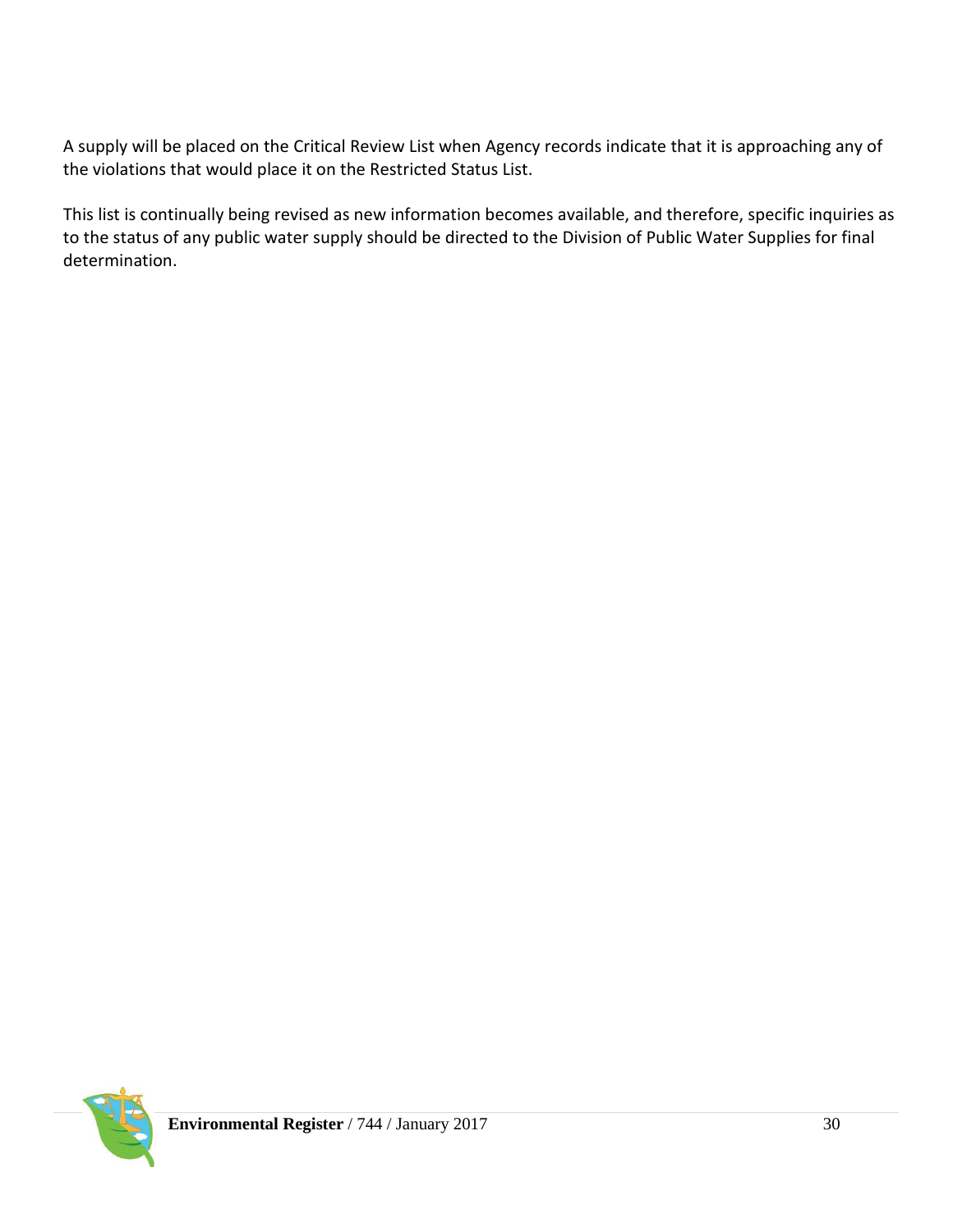A supply will be placed on the Critical Review List when Agency records indicate that it is approaching any of the violations that would place it on the Restricted Status List.

This list is continually being revised as new information becomes available, and therefore, specific inquiries as to the status of any public water supply should be directed to the Division of Public Water Supplies for final determination.